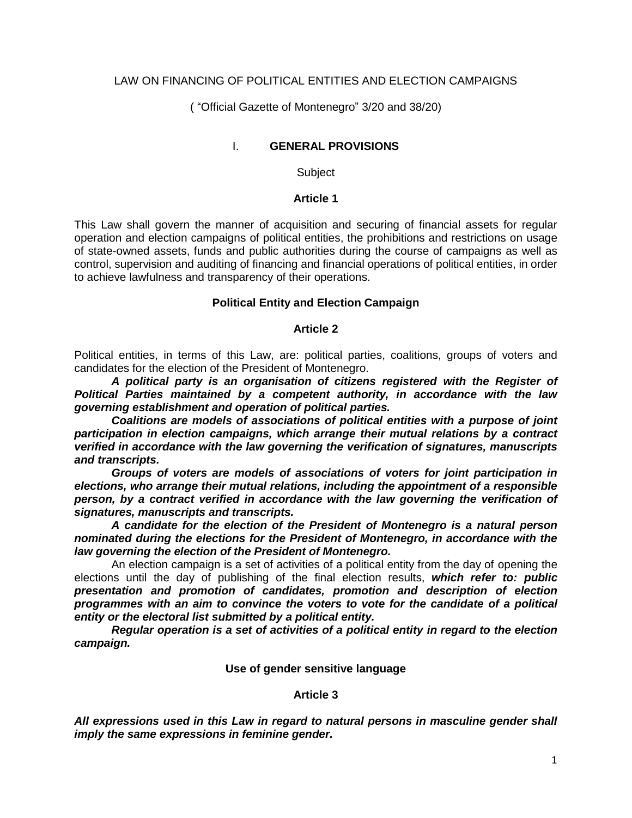## LAW ON FINANCING OF POLITICAL ENTITIES AND ELECTION CAMPAIGNS

( "Official Gazette of Montenegro" 3/20 and [38/20\)](javascript:void(0))

### I. **GENERAL PROVISIONS**

Subject

#### **Article 1**

This Law shall govern the manner of acquisition and securing of financial assets for regular operation and election campaigns of political entities, the prohibitions and restrictions on usage of state-owned assets, funds and public authorities during the course of campaigns as well as control, supervision and auditing of financing and financial operations of political entities, in order to achieve lawfulness and transparency of their operations.

#### **Political Entity and Election Campaign**

#### **Article 2**

Political entities, in terms of this Law, are: political parties, coalitions, groups of voters and candidates for the election of the President of Montenegro.

*A political party is an organisation of citizens registered with the Register of Political Parties maintained by a competent authority, in accordance with the law governing establishment and operation of political parties.* 

*Coalitions are models of associations of political entities with a purpose of joint participation in election campaigns, which arrange their mutual relations by a contract verified in accordance with the law governing the verification of signatures, manuscripts and transcripts.* 

*Groups of voters are models of associations of voters for joint participation in elections, who arrange their mutual relations, including the appointment of a responsible person, by a contract verified in accordance with the law governing the verification of signatures, manuscripts and transcripts.* 

*A candidate for the election of the President of Montenegro is a natural person nominated during the elections for the President of Montenegro, in accordance with the law governing the election of the President of Montenegro.*

An election campaign is a set of activities of a political entity from the day of opening the elections until the day of publishing of the final election results, *which refer to: public presentation and promotion of candidates, promotion and description of election programmes with an aim to convince the voters to vote for the candidate of a political entity or the electoral list submitted by a political entity.* 

*Regular operation is a set of activities of a political entity in regard to the election campaign.*

#### **Use of gender sensitive language**

#### **Article 3**

*All expressions used in this Law in regard to natural persons in masculine gender shall imply the same expressions in feminine gender.*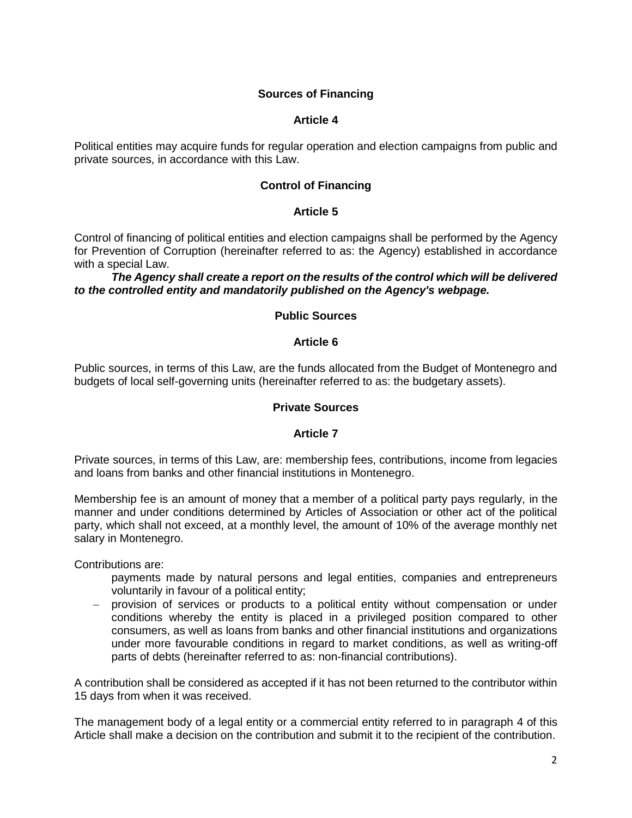## **Sources of Financing**

### **Article 4**

Political entities may acquire funds for regular operation and election campaigns from public and private sources, in accordance with this Law.

## **Control of Financing**

### **Article 5**

Control of financing of political entities and election campaigns shall be performed by the Agency for Prevention of Corruption (hereinafter referred to as: the Agency) established in accordance with a special Law.

*The Agency shall create a report on the results of the control which will be delivered to the controlled entity and mandatorily published on the Agency's webpage.*

## **Public Sources**

### **Article 6**

Public sources, in terms of this Law, are the funds allocated from the Budget of Montenegro and budgets of local self-governing units (hereinafter referred to as: the budgetary assets).

#### **Private Sources**

#### **Article 7**

Private sources, in terms of this Law, are: membership fees, contributions, income from legacies and loans from banks and other financial institutions in Montenegro.

Membership fee is an amount of money that a member of a political party pays regularly, in the manner and under conditions determined by Articles of Association or other act of the political party, which shall not exceed, at a monthly level, the amount of 10% of the average monthly net salary in Montenegro.

Contributions are:

- payments made by natural persons and legal entities, companies and entrepreneurs voluntarily in favour of a political entity;
- provision of services or products to a political entity without compensation or under conditions whereby the entity is placed in a privileged position compared to other consumers, as well as loans from banks and other financial institutions and organizations under more favourable conditions in regard to market conditions, as well as writing-off parts of debts (hereinafter referred to as: non-financial contributions).

A contribution shall be considered as accepted if it has not been returned to the contributor within 15 days from when it was received.

The management body of a legal entity or a commercial entity referred to in paragraph 4 of this Article shall make a decision on the contribution and submit it to the recipient of the contribution.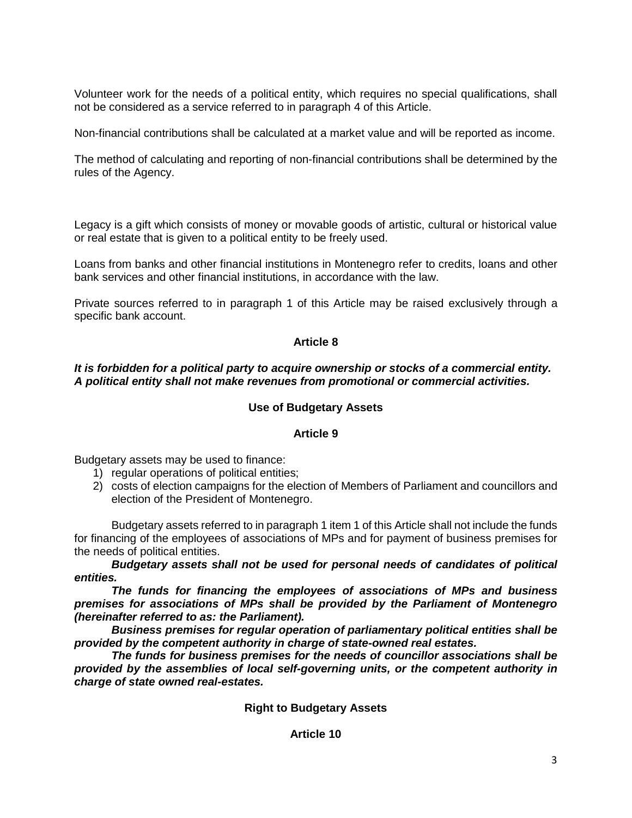Volunteer work for the needs of a political entity, which requires no special qualifications, shall not be considered as a service referred to in paragraph 4 of this Article.

Non-financial contributions shall be calculated at a market value and will be reported as income.

The method of calculating and reporting of non-financial contributions shall be determined by the rules of the Agency.

Legacy is a gift which consists of money or movable goods of artistic, cultural or historical value or real estate that is given to a political entity to be freely used.

Loans from banks and other financial institutions in Montenegro refer to credits, loans and other bank services and other financial institutions, in accordance with the law.

Private sources referred to in paragraph 1 of this Article may be raised exclusively through a specific bank account.

## **Article 8**

## *It is forbidden for a political party to acquire ownership or stocks of a commercial entity. A political entity shall not make revenues from promotional or commercial activities.*

## **Use of Budgetary Assets**

## **Article 9**

Budgetary assets may be used to finance:

- 1) regular operations of political entities;
- 2) costs of election campaigns for the election of Members of Parliament and councillors and election of the President of Montenegro.

Budgetary assets referred to in paragraph 1 item 1 of this Article shall not include the funds for financing of the employees of associations of MPs and for payment of business premises for the needs of political entities.

*Budgetary assets shall not be used for personal needs of candidates of political entities.*

*The funds for financing the employees of associations of MPs and business premises for associations of MPs shall be provided by the Parliament of Montenegro (hereinafter referred to as: the Parliament).*

*Business premises for regular operation of parliamentary political entities shall be provided by the competent authority in charge of state-owned real estates.* 

*The funds for business premises for the needs of councillor associations shall be provided by the assemblies of local self-governing units, or the competent authority in charge of state owned real-estates.*

**Right to Budgetary Assets**

**Article 10**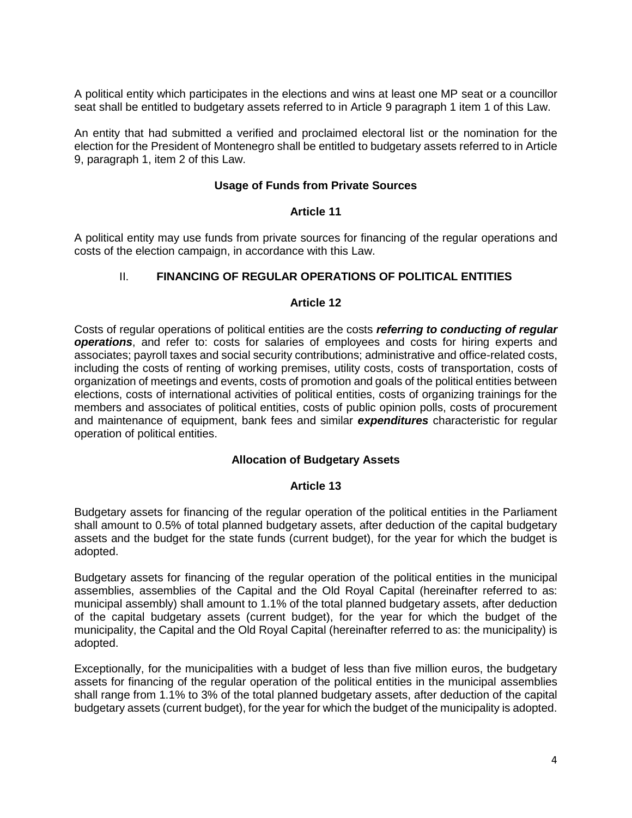A political entity which participates in the elections and wins at least one MP seat or a councillor seat shall be entitled to budgetary assets referred to in Article 9 paragraph 1 item 1 of this Law.

An entity that had submitted a verified and proclaimed electoral list or the nomination for the election for the President of Montenegro shall be entitled to budgetary assets referred to in Article 9, paragraph 1, item 2 of this Law.

### **Usage of Funds from Private Sources**

### **Article 11**

A political entity may use funds from private sources for financing of the regular operations and costs of the election campaign, in accordance with this Law.

## II. **FINANCING OF REGULAR OPERATIONS OF POLITICAL ENTITIES**

### **Article 12**

Costs of regular operations of political entities are the costs *referring to conducting of regular operations*, and refer to: costs for salaries of employees and costs for hiring experts and associates; payroll taxes and social security contributions; administrative and office-related costs, including the costs of renting of working premises, utility costs, costs of transportation, costs of organization of meetings and events, costs of promotion and goals of the political entities between elections, costs of international activities of political entities, costs of organizing trainings for the members and associates of political entities, costs of public opinion polls, costs of procurement and maintenance of equipment, bank fees and similar *expenditures* characteristic for regular operation of political entities.

## **Allocation of Budgetary Assets**

## **Article 13**

Budgetary assets for financing of the regular operation of the political entities in the Parliament shall amount to 0.5% of total planned budgetary assets, after deduction of the capital budgetary assets and the budget for the state funds (current budget), for the year for which the budget is adopted.

Budgetary assets for financing of the regular operation of the political entities in the municipal assemblies, assemblies of the Capital and the Old Royal Capital (hereinafter referred to as: municipal assembly) shall amount to 1.1% of the total planned budgetary assets, after deduction of the capital budgetary assets (current budget), for the year for which the budget of the municipality, the Capital and the Old Royal Capital (hereinafter referred to as: the municipality) is adopted.

Exceptionally, for the municipalities with a budget of less than five million euros, the budgetary assets for financing of the regular operation of the political entities in the municipal assemblies shall range from 1.1% to 3% of the total planned budgetary assets, after deduction of the capital budgetary assets (current budget), for the year for which the budget of the municipality is adopted.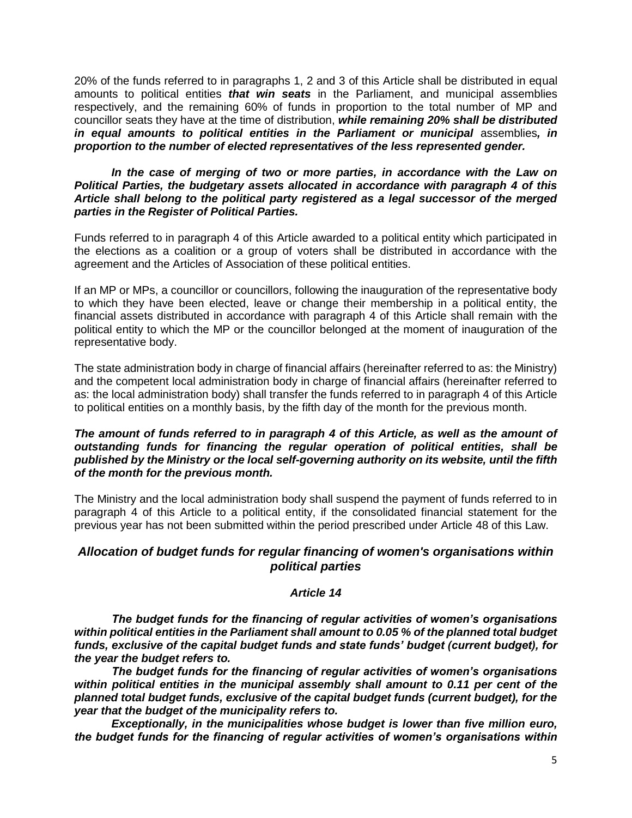20% of the funds referred to in paragraphs 1, 2 and 3 of this Article shall be distributed in equal amounts to political entities *that win seats* in the Parliament, and municipal assemblies respectively, and the remaining 60% of funds in proportion to the total number of MP and councillor seats they have at the time of distribution, *while remaining 20% shall be distributed in equal amounts to political entities in the Parliament or municipal* assemblies*, in proportion to the number of elected representatives of the less represented gender.*

#### In the case of merging of two or more parties, in accordance with the Law on *Political Parties, the budgetary assets allocated in accordance with paragraph 4 of this Article shall belong to the political party registered as a legal successor of the merged parties in the Register of Political Parties.*

Funds referred to in paragraph 4 of this Article awarded to a political entity which participated in the elections as a coalition or a group of voters shall be distributed in accordance with the agreement and the Articles of Association of these political entities.

If an MP or MPs, a councillor or councillors, following the inauguration of the representative body to which they have been elected, leave or change their membership in a political entity, the financial assets distributed in accordance with paragraph 4 of this Article shall remain with the political entity to which the MP or the councillor belonged at the moment of inauguration of the representative body.

The state administration body in charge of financial affairs (hereinafter referred to as: the Ministry) and the competent local administration body in charge of financial affairs (hereinafter referred to as: the local administration body) shall transfer the funds referred to in paragraph 4 of this Article to political entities on a monthly basis, by the fifth day of the month for the previous month.

### *The amount of funds referred to in paragraph 4 of this Article, as well as the amount of outstanding funds for financing the regular operation of political entities, shall be published by the Ministry or the local self-governing authority on its website, until the fifth of the month for the previous month.*

The Ministry and the local administration body shall suspend the payment of funds referred to in paragraph 4 of this Article to a political entity, if the consolidated financial statement for the previous year has not been submitted within the period prescribed under Article 48 of this Law.

## *Allocation of budget funds for regular financing of women's organisations within political parties*

## *Article 14*

*The budget funds for the financing of regular activities of women's organisations within political entities in the Parliament shall amount to 0.05 % of the planned total budget funds, exclusive of the capital budget funds and state funds' budget (current budget), for the year the budget refers to.*

*The budget funds for the financing of regular activities of women's organisations within political entities in the municipal assembly shall amount to 0.11 per cent of the planned total budget funds, exclusive of the capital budget funds (current budget), for the year that the budget of the municipality refers to.* 

*Exceptionally, in the municipalities whose budget is lower than five million euro, the budget funds for the financing of regular activities of women's organisations within*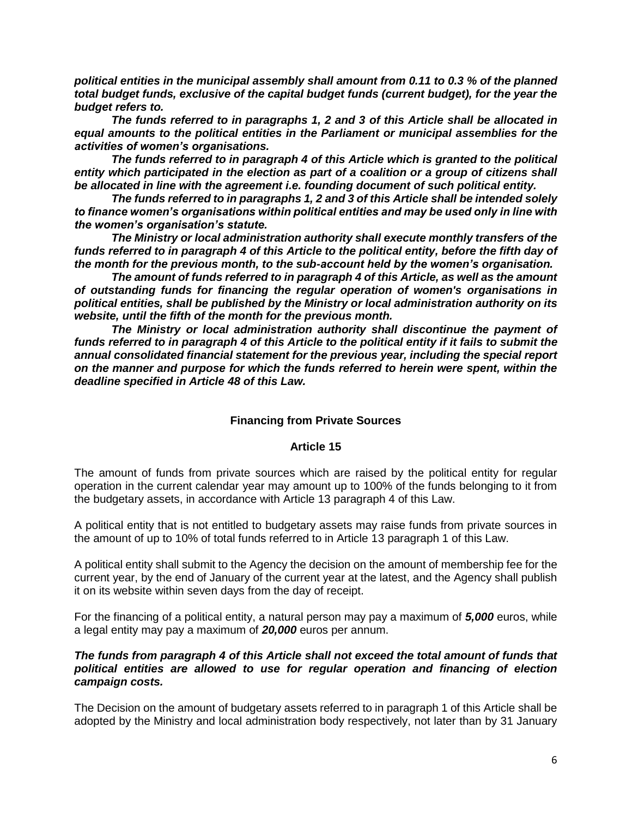*political entities in the municipal assembly shall amount from 0.11 to 0.3 % of the planned total budget funds, exclusive of the capital budget funds (current budget), for the year the budget refers to.* 

*The funds referred to in paragraphs 1, 2 and 3 of this Article shall be allocated in equal amounts to the political entities in the Parliament or municipal assemblies for the activities of women's organisations.* 

*The funds referred to in paragraph 4 of this Article which is granted to the political entity which participated in the election as part of a coalition or a group of citizens shall be allocated in line with the agreement i.e. founding document of such political entity.* 

*The funds referred to in paragraphs 1, 2 and 3 of this Article shall be intended solely to finance women's organisations within political entities and may be used only in line with the women's organisation's statute.* 

*The Ministry or local administration authority shall execute monthly transfers of the funds referred to in paragraph 4 of this Article to the political entity, before the fifth day of the month for the previous month, to the sub-account held by the women's organisation.* 

*The amount of funds referred to in paragraph 4 of this Article, as well as the amount of outstanding funds for financing the regular operation of women's organisations in political entities, shall be published by the Ministry or local administration authority on its website, until the fifth of the month for the previous month.* 

*The Ministry or local administration authority shall discontinue the payment of funds referred to in paragraph 4 of this Article to the political entity if it fails to submit the annual consolidated financial statement for the previous year, including the special report on the manner and purpose for which the funds referred to herein were spent, within the deadline specified in Article 48 of this Law.* 

## **Financing from Private Sources**

### **Article 15**

The amount of funds from private sources which are raised by the political entity for regular operation in the current calendar year may amount up to 100% of the funds belonging to it from the budgetary assets, in accordance with Article 13 paragraph 4 of this Law.

A political entity that is not entitled to budgetary assets may raise funds from private sources in the amount of up to 10% of total funds referred to in Article 13 paragraph 1 of this Law.

A political entity shall submit to the Agency the decision on the amount of membership fee for the current year, by the end of January of the current year at the latest, and the Agency shall publish it on its website within seven days from the day of receipt.

For the financing of a political entity, a natural person may pay a maximum of *5,000* euros, while a legal entity may pay a maximum of *20,000* euros per annum.

### *The funds from paragraph 4 of this Article shall not exceed the total amount of funds that political entities are allowed to use for regular operation and financing of election campaign costs.*

The Decision on the amount of budgetary assets referred to in paragraph 1 of this Article shall be adopted by the Ministry and local administration body respectively, not later than by 31 January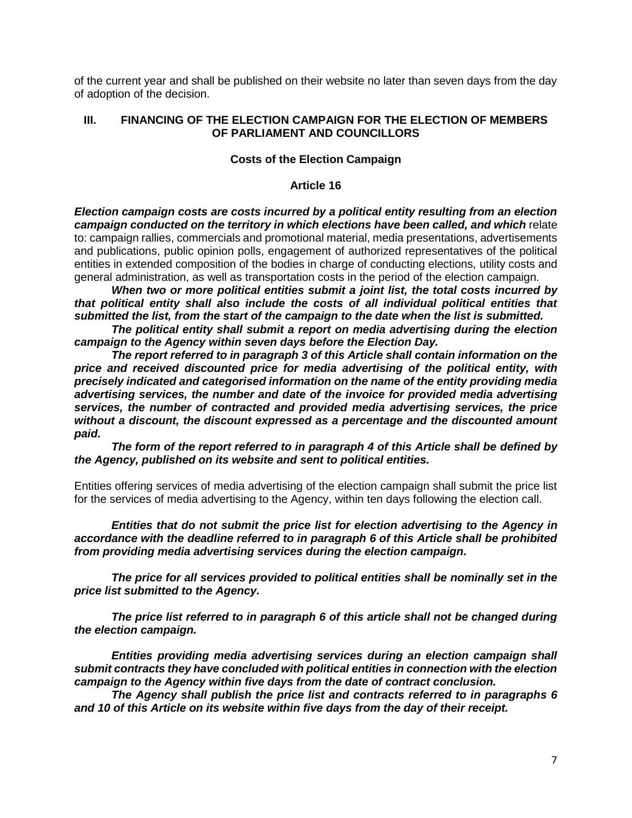of the current year and shall be published on their website no later than seven days from the day of adoption of the decision.

### **III. FINANCING OF THE ELECTION CAMPAIGN FOR THE ELECTION OF MEMBERS OF PARLIAMENT AND COUNCILLORS**

### **Costs of the Election Campaign**

#### **Article 16**

*Election campaign costs are costs incurred by a political entity resulting from an election campaign conducted on the territory in which elections have been called, and which* relate to: campaign rallies, commercials and promotional material, media presentations, advertisements and publications, public opinion polls, engagement of authorized representatives of the political entities in extended composition of the bodies in charge of conducting elections, utility costs and general administration, as well as transportation costs in the period of the election campaign.

*When two or more political entities submit a joint list, the total costs incurred by that political entity shall also include the costs of all individual political entities that submitted the list, from the start of the campaign to the date when the list is submitted.*

*The political entity shall submit a report on media advertising during the election campaign to the Agency within seven days before the Election Day.*

*The report referred to in paragraph 3 of this Article shall contain information on the price and received discounted price for media advertising of the political entity, with precisely indicated and categorised information on the name of the entity providing media advertising services, the number and date of the invoice for provided media advertising services, the number of contracted and provided media advertising services, the price without a discount, the discount expressed as a percentage and the discounted amount paid.* 

*The form of the report referred to in paragraph 4 of this Article shall be defined by the Agency, published on its website and sent to political entities.* 

Entities offering services of media advertising of the election campaign shall submit the price list for the services of media advertising to the Agency, within ten days following the election call.

*Entities that do not submit the price list for election advertising to the Agency in accordance with the deadline referred to in paragraph 6 of this Article shall be prohibited from providing media advertising services during the election campaign.*

*The price for all services provided to political entities shall be nominally set in the price list submitted to the Agency.*

*The price list referred to in paragraph 6 of this article shall not be changed during the election campaign.*

*Entities providing media advertising services during an election campaign shall submit contracts they have concluded with political entities in connection with the election campaign to the Agency within five days from the date of contract conclusion.* 

*The Agency shall publish the price list and contracts referred to in paragraphs 6 and 10 of this Article on its website within five days from the day of their receipt.*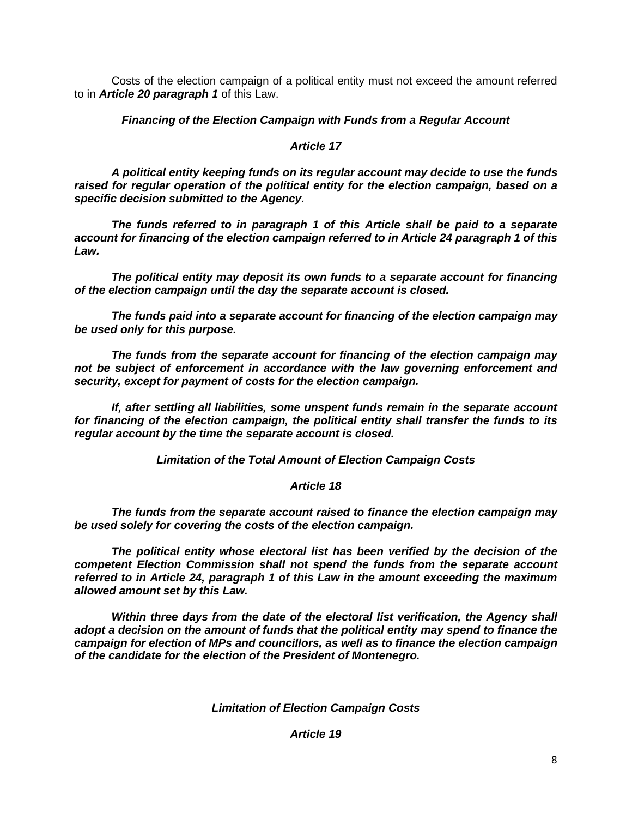Costs of the election campaign of a political entity must not exceed the amount referred to in *Article 20 paragraph 1* of this Law.

## *Financing of the Election Campaign with Funds from a Regular Account*

### *Article 17*

*A political entity keeping funds on its regular account may decide to use the funds raised for regular operation of the political entity for the election campaign, based on a specific decision submitted to the Agency.*

*The funds referred to in paragraph 1 of this Article shall be paid to a separate account for financing of the election campaign referred to in Article 24 paragraph 1 of this Law.*

*The political entity may deposit its own funds to a separate account for financing of the election campaign until the day the separate account is closed.*

*The funds paid into a separate account for financing of the election campaign may be used only for this purpose.*

*The funds from the separate account for financing of the election campaign may not be subject of enforcement in accordance with the law governing enforcement and security, except for payment of costs for the election campaign.*

*If, after settling all liabilities, some unspent funds remain in the separate account for financing of the election campaign, the political entity shall transfer the funds to its regular account by the time the separate account is closed.*

*Limitation of the Total Amount of Election Campaign Costs*

## *Article 18*

*The funds from the separate account raised to finance the election campaign may be used solely for covering the costs of the election campaign.*

*The political entity whose electoral list has been verified by the decision of the competent Election Commission shall not spend the funds from the separate account referred to in Article 24, paragraph 1 of this Law in the amount exceeding the maximum allowed amount set by this Law.*

*Within three days from the date of the electoral list verification, the Agency shall adopt a decision on the amount of funds that the political entity may spend to finance the campaign for election of MPs and councillors, as well as to finance the election campaign of the candidate for the election of the President of Montenegro.*

*Limitation of Election Campaign Costs*

## *Article 19*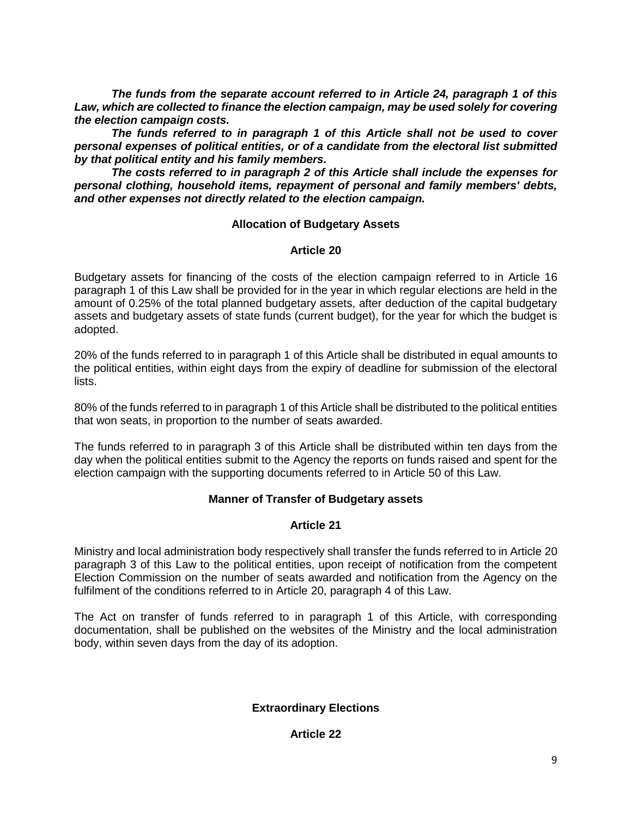*The funds from the separate account referred to in Article 24, paragraph 1 of this Law, which are collected to finance the election campaign, may be used solely for covering the election campaign costs.*

*The funds referred to in paragraph 1 of this Article shall not be used to cover personal expenses of political entities, or of a candidate from the electoral list submitted by that political entity and his family members.*

*The costs referred to in paragraph 2 of this Article shall include the expenses for personal clothing, household items, repayment of personal and family members' debts, and other expenses not directly related to the election campaign.*

## **Allocation of Budgetary Assets**

## **Article 20**

Budgetary assets for financing of the costs of the election campaign referred to in Article 16 paragraph 1 of this Law shall be provided for in the year in which regular elections are held in the amount of 0.25% of the total planned budgetary assets, after deduction of the capital budgetary assets and budgetary assets of state funds (current budget), for the year for which the budget is adopted.

20% of the funds referred to in paragraph 1 of this Article shall be distributed in equal amounts to the political entities, within eight days from the expiry of deadline for submission of the electoral lists.

80% of the funds referred to in paragraph 1 of this Article shall be distributed to the political entities that won seats, in proportion to the number of seats awarded.

The funds referred to in paragraph 3 of this Article shall be distributed within ten days from the day when the political entities submit to the Agency the reports on funds raised and spent for the election campaign with the supporting documents referred to in Article 50 of this Law.

## **Manner of Transfer of Budgetary assets**

## **Article 21**

Ministry and local administration body respectively shall transfer the funds referred to in Article 20 paragraph 3 of this Law to the political entities, upon receipt of notification from the competent Election Commission on the number of seats awarded and notification from the Agency on the fulfilment of the conditions referred to in Article 20, paragraph 4 of this Law.

The Act on transfer of funds referred to in paragraph 1 of this Article, with corresponding documentation, shall be published on the websites of the Ministry and the local administration body, within seven days from the day of its adoption.

# **Extraordinary Elections**

## **Article 22**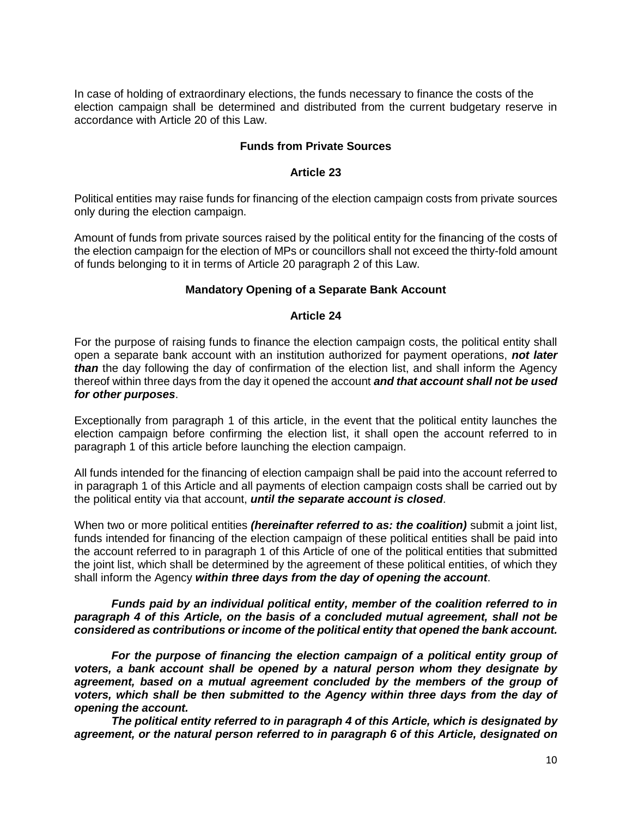In case of holding of extraordinary elections, the funds necessary to finance the costs of the election campaign shall be determined and distributed from the current budgetary reserve in accordance with Article 20 of this Law.

### **Funds from Private Sources**

#### **Article 23**

Political entities may raise funds for financing of the election campaign costs from private sources only during the election campaign.

Amount of funds from private sources raised by the political entity for the financing of the costs of the election campaign for the election of MPs or councillors shall not exceed the thirty-fold amount of funds belonging to it in terms of Article 20 paragraph 2 of this Law.

### **Mandatory Opening of a Separate Bank Account**

#### **Article 24**

For the purpose of raising funds to finance the election campaign costs, the political entity shall open a separate bank account with an institution authorized for payment operations, *not later than* the day following the day of confirmation of the election list, and shall inform the Agency thereof within three days from the day it opened the account *and that account shall not be used for other purposes*.

Exceptionally from paragraph 1 of this article, in the event that the political entity launches the election campaign before confirming the election list, it shall open the account referred to in paragraph 1 of this article before launching the election campaign.

All funds intended for the financing of election campaign shall be paid into the account referred to in paragraph 1 of this Article and all payments of election campaign costs shall be carried out by the political entity via that account, *until the separate account is closed*.

When two or more political entities *(hereinafter referred to as: the coalition)* submit a joint list, funds intended for financing of the election campaign of these political entities shall be paid into the account referred to in paragraph 1 of this Article of one of the political entities that submitted the joint list, which shall be determined by the agreement of these political entities, of which they shall inform the Agency *within three days from the day of opening the account*.

### *Funds paid by an individual political entity, member of the coalition referred to in paragraph 4 of this Article, on the basis of a concluded mutual agreement, shall not be considered as contributions or income of the political entity that opened the bank account.*

*For the purpose of financing the election campaign of a political entity group of voters, a bank account shall be opened by a natural person whom they designate by agreement, based on a mutual agreement concluded by the members of the group of voters, which shall be then submitted to the Agency within three days from the day of opening the account.* 

*The political entity referred to in paragraph 4 of this Article, which is designated by agreement, or the natural person referred to in paragraph 6 of this Article, designated on*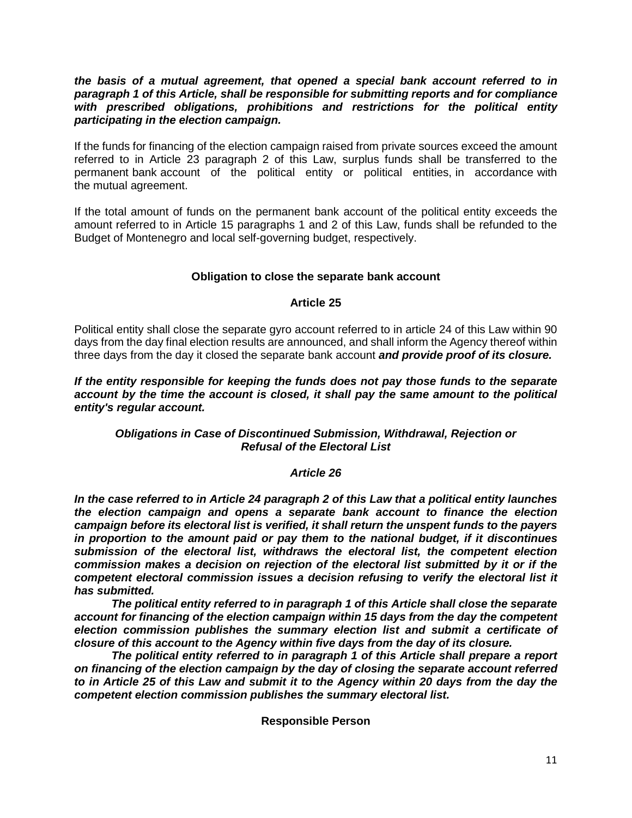*the basis of a mutual agreement, that opened a special bank account referred to in paragraph 1 of this Article, shall be responsible for submitting reports and for compliance with prescribed obligations, prohibitions and restrictions for the political entity participating in the election campaign.* 

If the funds for financing of the election campaign raised from private sources exceed the amount referred to in Article 23 paragraph 2 of this Law, surplus funds shall be transferred to the permanent bank account of the political entity or political entities, in accordance with the mutual agreement.

If the total amount of funds on the permanent bank account of the political entity exceeds the amount referred to in Article 15 paragraphs 1 and 2 of this Law, funds shall be refunded to the Budget of Montenegro and local self-governing budget, respectively.

### **Obligation to close the separate bank account**

#### **Article 25**

Political entity shall close the separate gyro account referred to in article 24 of this Law within 90 days from the day final election results are announced, and shall inform the Agency thereof within three days from the day it closed the separate bank account *and provide proof of its closure.*

*If the entity responsible for keeping the funds does not pay those funds to the separate account by the time the account is closed, it shall pay the same amount to the political entity's regular account.*

### *Obligations in Case of Discontinued Submission, Withdrawal, Rejection or Refusal of the Electoral List*

## *Article 26*

*In the case referred to in Article 24 paragraph 2 of this Law that a political entity launches the election campaign and opens a separate bank account to finance the election campaign before its electoral list is verified, it shall return the unspent funds to the payers in proportion to the amount paid or pay them to the national budget, if it discontinues submission of the electoral list, withdraws the electoral list, the competent election commission makes a decision on rejection of the electoral list submitted by it or if the competent electoral commission issues a decision refusing to verify the electoral list it has submitted.*

*The political entity referred to in paragraph 1 of this Article shall close the separate account for financing of the election campaign within 15 days from the day the competent election commission publishes the summary election list and submit a certificate of closure of this account to the Agency within five days from the day of its closure.*

*The political entity referred to in paragraph 1 of this Article shall prepare a report on financing of the election campaign by the day of closing the separate account referred to in Article 25 of this Law and submit it to the Agency within 20 days from the day the competent election commission publishes the summary electoral list.*

#### **Responsible Person**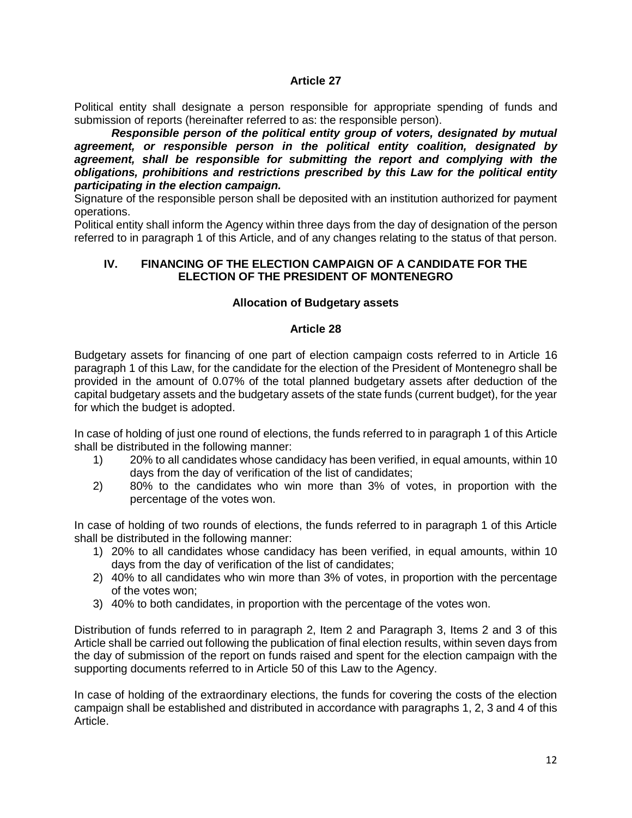Political entity shall designate a person responsible for appropriate spending of funds and submission of reports (hereinafter referred to as: the responsible person).

*Responsible person of the political entity group of voters, designated by mutual agreement, or responsible person in the political entity coalition, designated by agreement, shall be responsible for submitting the report and complying with the obligations, prohibitions and restrictions prescribed by this Law for the political entity participating in the election campaign.*

Signature of the responsible person shall be deposited with an institution authorized for payment operations.

Political entity shall inform the Agency within three days from the day of designation of the person referred to in paragraph 1 of this Article, and of any changes relating to the status of that person.

### **IV. FINANCING OF THE ELECTION CAMPAIGN OF A CANDIDATE FOR THE ELECTION OF THE PRESIDENT OF MONTENEGRO**

## **Allocation of Budgetary assets**

## **Article 28**

Budgetary assets for financing of one part of election campaign costs referred to in Article 16 paragraph 1 of this Law, for the candidate for the election of the President of Montenegro shall be provided in the amount of 0.07% of the total planned budgetary assets after deduction of the capital budgetary assets and the budgetary assets of the state funds (current budget), for the year for which the budget is adopted.

In case of holding of just one round of elections, the funds referred to in paragraph 1 of this Article shall be distributed in the following manner:

- 1) 20% to all candidates whose candidacy has been verified, in equal amounts, within 10 days from the day of verification of the list of candidates;
- 2) 80% to the candidates who win more than 3% of votes, in proportion with the percentage of the votes won.

In case of holding of two rounds of elections, the funds referred to in paragraph 1 of this Article shall be distributed in the following manner:

- 1) 20% to all candidates whose candidacy has been verified, in equal amounts, within 10 days from the day of verification of the list of candidates;
- 2) 40% to all candidates who win more than 3% of votes, in proportion with the percentage of the votes won;
- 3) 40% to both candidates, in proportion with the percentage of the votes won.

Distribution of funds referred to in paragraph 2, Item 2 and Paragraph 3, Items 2 and 3 of this Article shall be carried out following the publication of final election results, within seven days from the day of submission of the report on funds raised and spent for the election campaign with the supporting documents referred to in Article 50 of this Law to the Agency.

In case of holding of the extraordinary elections, the funds for covering the costs of the election campaign shall be established and distributed in accordance with paragraphs 1, 2, 3 and 4 of this Article.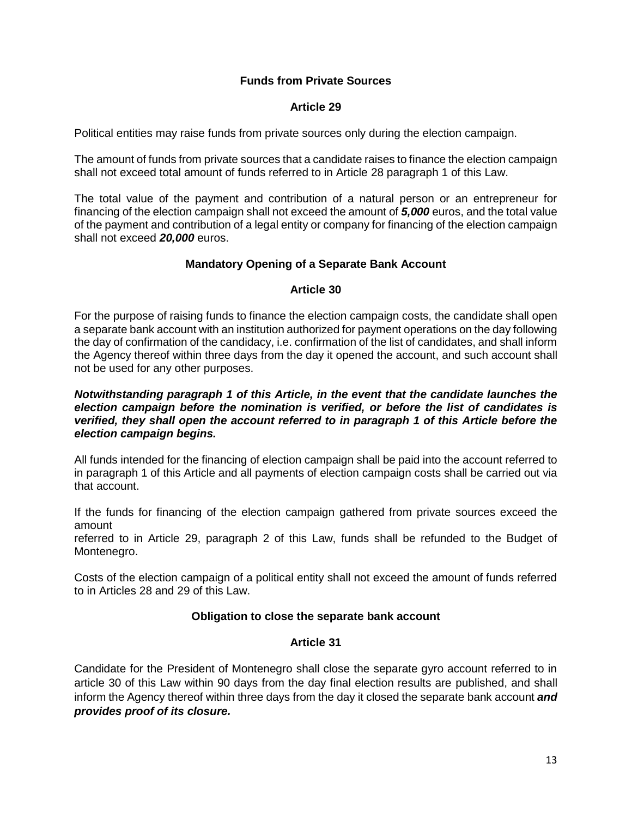## **Funds from Private Sources**

### **Article 29**

Political entities may raise funds from private sources only during the election campaign.

The amount of funds from private sources that a candidate raises to finance the election campaign shall not exceed total amount of funds referred to in Article 28 paragraph 1 of this Law.

The total value of the payment and contribution of a natural person or an entrepreneur for financing of the election campaign shall not exceed the amount of *5,000* euros, and the total value of the payment and contribution of a legal entity or company for financing of the election campaign shall not exceed *20,000* euros.

## **Mandatory Opening of a Separate Bank Account**

### **Article 30**

For the purpose of raising funds to finance the election campaign costs, the candidate shall open a separate bank account with an institution authorized for payment operations on the day following the day of confirmation of the candidacy, i.e. confirmation of the list of candidates, and shall inform the Agency thereof within three days from the day it opened the account, and such account shall not be used for any other purposes.

### *Notwithstanding paragraph 1 of this Article, in the event that the candidate launches the election campaign before the nomination is verified, or before the list of candidates is verified, they shall open the account referred to in paragraph 1 of this Article before the election campaign begins.*

All funds intended for the financing of election campaign shall be paid into the account referred to in paragraph 1 of this Article and all payments of election campaign costs shall be carried out via that account.

If the funds for financing of the election campaign gathered from private sources exceed the amount

referred to in Article 29, paragraph 2 of this Law, funds shall be refunded to the Budget of Montenegro.

Costs of the election campaign of a political entity shall not exceed the amount of funds referred to in Articles 28 and 29 of this Law.

## **Obligation to close the separate bank account**

## **Article 31**

Candidate for the President of Montenegro shall close the separate gyro account referred to in article 30 of this Law within 90 days from the day final election results are published, and shall inform the Agency thereof within three days from the day it closed the separate bank account *and provides proof of its closure.*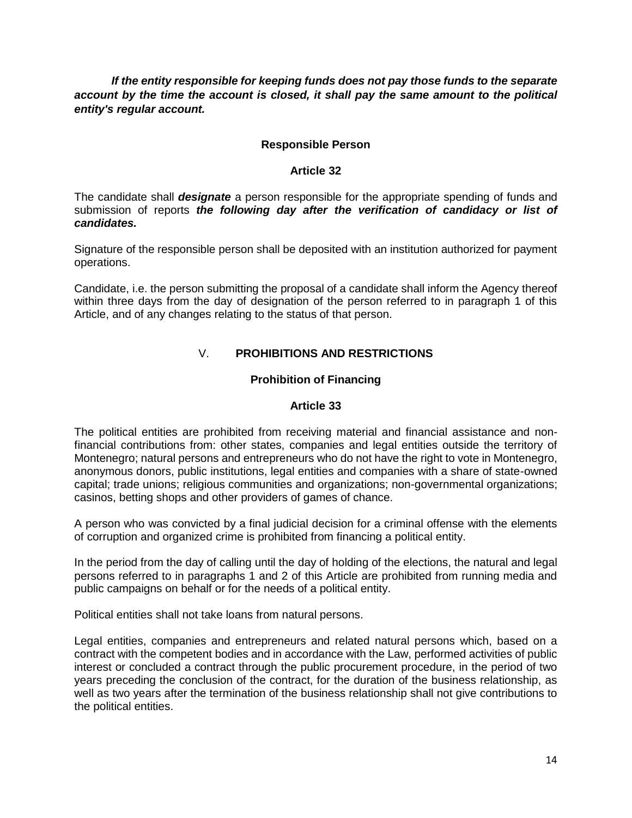*If the entity responsible for keeping funds does not pay those funds to the separate account by the time the account is closed, it shall pay the same amount to the political entity's regular account.*

## **Responsible Person**

### **Article 32**

The candidate shall *designate* a person responsible for the appropriate spending of funds and submission of reports *the following day after the verification of candidacy or list of candidates.*

Signature of the responsible person shall be deposited with an institution authorized for payment operations.

Candidate, i.e. the person submitting the proposal of a candidate shall inform the Agency thereof within three days from the day of designation of the person referred to in paragraph 1 of this Article, and of any changes relating to the status of that person.

# V. **PROHIBITIONS AND RESTRICTIONS**

## **Prohibition of Financing**

### **Article 33**

The political entities are prohibited from receiving material and financial assistance and nonfinancial contributions from: other states, companies and legal entities outside the territory of Montenegro; natural persons and entrepreneurs who do not have the right to vote in Montenegro, anonymous donors, public institutions, legal entities and companies with a share of state-owned capital; trade unions; religious communities and organizations; non-governmental organizations; casinos, betting shops and other providers of games of chance.

A person who was convicted by a final judicial decision for a criminal offense with the elements of corruption and organized crime is prohibited from financing a political entity.

In the period from the day of calling until the day of holding of the elections, the natural and legal persons referred to in paragraphs 1 and 2 of this Article are prohibited from running media and public campaigns on behalf or for the needs of a political entity.

Political entities shall not take loans from natural persons.

Legal entities, companies and entrepreneurs and related natural persons which, based on a contract with the competent bodies and in accordance with the Law, performed activities of public interest or concluded a contract through the public procurement procedure, in the period of two years preceding the conclusion of the contract, for the duration of the business relationship, as well as two years after the termination of the business relationship shall not give contributions to the political entities.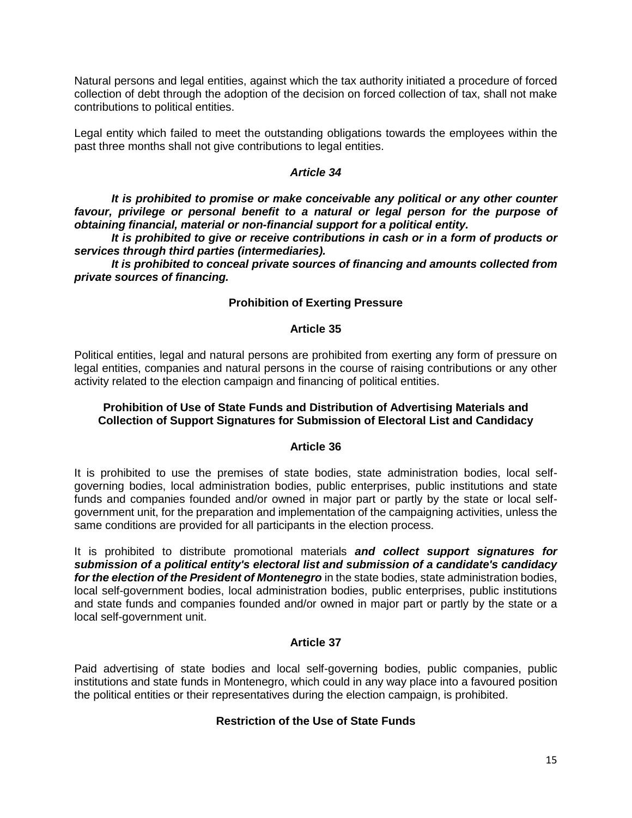Natural persons and legal entities, against which the tax authority initiated a procedure of forced collection of debt through the adoption of the decision on forced collection of tax, shall not make contributions to political entities.

Legal entity which failed to meet the outstanding obligations towards the employees within the past three months shall not give contributions to legal entities.

### *Article 34*

*It is prohibited to promise or make conceivable any political or any other counter favour, privilege or personal benefit to a natural or legal person for the purpose of obtaining financial, material or non-financial support for a political entity.*

*It is prohibited to give or receive contributions in cash or in a form of products or services through third parties (intermediaries).*

*It is prohibited to conceal private sources of financing and amounts collected from private sources of financing.*

### **Prohibition of Exerting Pressure**

#### **Article 35**

Political entities, legal and natural persons are prohibited from exerting any form of pressure on legal entities, companies and natural persons in the course of raising contributions or any other activity related to the election campaign and financing of political entities.

### **Prohibition of Use of State Funds and Distribution of Advertising Materials and Collection of Support Signatures for Submission of Electoral List and Candidacy**

#### **Article 36**

It is prohibited to use the premises of state bodies, state administration bodies, local selfgoverning bodies, local administration bodies, public enterprises, public institutions and state funds and companies founded and/or owned in major part or partly by the state or local selfgovernment unit, for the preparation and implementation of the campaigning activities, unless the same conditions are provided for all participants in the election process.

It is prohibited to distribute promotional materials *and collect support signatures for submission of a political entity's electoral list and submission of a candidate's candidacy for the election of the President of Montenegro* in the state bodies, state administration bodies, local self-government bodies, local administration bodies, public enterprises, public institutions and state funds and companies founded and/or owned in major part or partly by the state or a local self-government unit.

## **Article 37**

Paid advertising of state bodies and local self-governing bodies, public companies, public institutions and state funds in Montenegro, which could in any way place into a favoured position the political entities or their representatives during the election campaign, is prohibited.

## **Restriction of the Use of State Funds**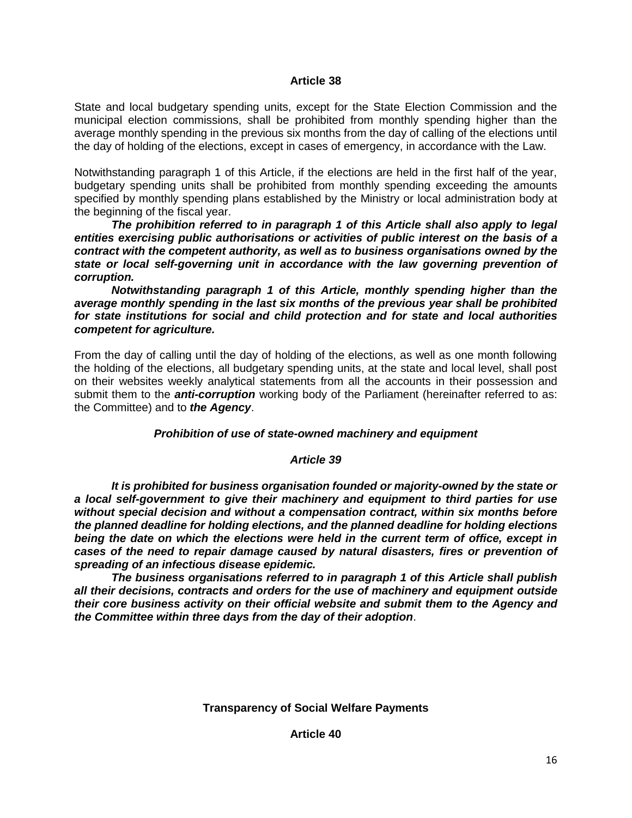State and local budgetary spending units, except for the State Election Commission and the municipal election commissions, shall be prohibited from monthly spending higher than the average monthly spending in the previous six months from the day of calling of the elections until the day of holding of the elections, except in cases of emergency, in accordance with the Law.

Notwithstanding paragraph 1 of this Article, if the elections are held in the first half of the year, budgetary spending units shall be prohibited from monthly spending exceeding the amounts specified by monthly spending plans established by the Ministry or local administration body at the beginning of the fiscal year.

*The prohibition referred to in paragraph 1 of this Article shall also apply to legal entities exercising public authorisations or activities of public interest on the basis of a contract with the competent authority, as well as to business organisations owned by the state or local self-governing unit in accordance with the law governing prevention of corruption.*

*Notwithstanding paragraph 1 of this Article, monthly spending higher than the average monthly spending in the last six months of the previous year shall be prohibited for state institutions for social and child protection and for state and local authorities competent for agriculture.*

From the day of calling until the day of holding of the elections, as well as one month following the holding of the elections, all budgetary spending units, at the state and local level, shall post on their websites weekly analytical statements from all the accounts in their possession and submit them to the *anti-corruption* working body of the Parliament (hereinafter referred to as: the Committee) and to *the Agency*.

## *Prohibition of use of state-owned machinery and equipment*

#### *Article 39*

*It is prohibited for business organisation founded or majority-owned by the state or a local self-government to give their machinery and equipment to third parties for use without special decision and without a compensation contract, within six months before the planned deadline for holding elections, and the planned deadline for holding elections being the date on which the elections were held in the current term of office, except in cases of the need to repair damage caused by natural disasters, fires or prevention of spreading of an infectious disease epidemic.*

*The business organisations referred to in paragraph 1 of this Article shall publish all their decisions, contracts and orders for the use of machinery and equipment outside their core business activity on their official website and submit them to the Agency and the Committee within three days from the day of their adoption*.

**Transparency of Social Welfare Payments**

**Article 40**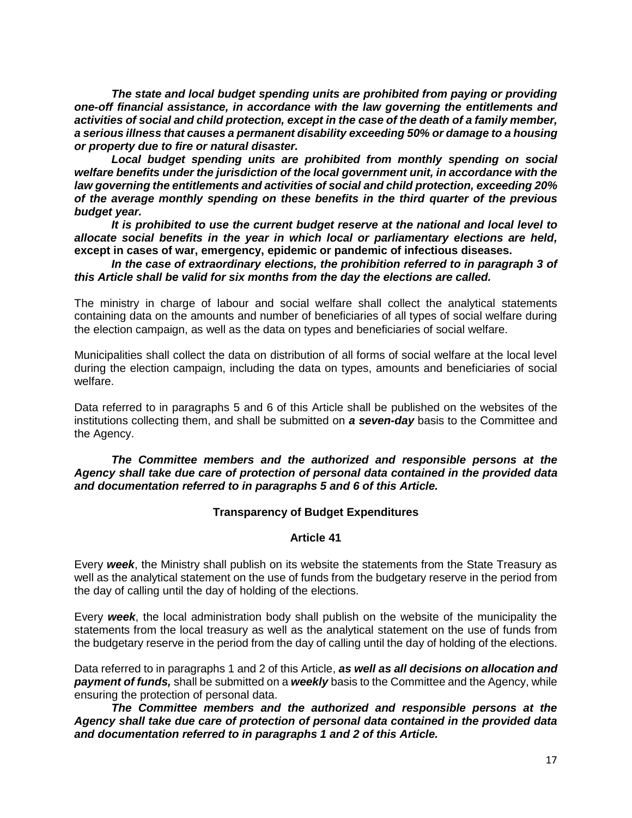*The state and local budget spending units are prohibited from paying or providing one-off financial assistance, in accordance with the law governing the entitlements and activities of social and child protection, except in the case of the death of a family member, a serious illness that causes a permanent disability exceeding 50% or damage to a housing or property due to fire or natural disaster.*

*Local budget spending units are prohibited from monthly spending on social welfare benefits under the jurisdiction of the local government unit, in accordance with the law governing the entitlements and activities of social and child protection, exceeding 20% of the average monthly spending on these benefits in the third quarter of the previous budget year.*

*It is prohibited to use the current budget reserve at the national and local level to allocate social benefits in the year in which local or parliamentary elections are held,*  **except in cases of war, emergency, epidemic or pandemic of infectious diseases.**

*In the case of extraordinary elections, the prohibition referred to in paragraph 3 of this Article shall be valid for six months from the day the elections are called.*

The ministry in charge of labour and social welfare shall collect the analytical statements containing data on the amounts and number of beneficiaries of all types of social welfare during the election campaign, as well as the data on types and beneficiaries of social welfare.

Municipalities shall collect the data on distribution of all forms of social welfare at the local level during the election campaign, including the data on types, amounts and beneficiaries of social welfare.

Data referred to in paragraphs 5 and 6 of this Article shall be published on the websites of the institutions collecting them, and shall be submitted on *a seven-day* basis to the Committee and the Agency.

*The Committee members and the authorized and responsible persons at the Agency shall take due care of protection of personal data contained in the provided data and documentation referred to in paragraphs 5 and 6 of this Article.*

#### **Transparency of Budget Expenditures**

#### **Article 41**

Every *week*, the Ministry shall publish on its website the statements from the State Treasury as well as the analytical statement on the use of funds from the budgetary reserve in the period from the day of calling until the day of holding of the elections.

Every *week*, the local administration body shall publish on the website of the municipality the statements from the local treasury as well as the analytical statement on the use of funds from the budgetary reserve in the period from the day of calling until the day of holding of the elections.

Data referred to in paragraphs 1 and 2 of this Article, *as well as all decisions on allocation and payment of funds,* shall be submitted on a *weekly* basis to the Committee and the Agency, while ensuring the protection of personal data.

*The Committee members and the authorized and responsible persons at the Agency shall take due care of protection of personal data contained in the provided data and documentation referred to in paragraphs 1 and 2 of this Article.*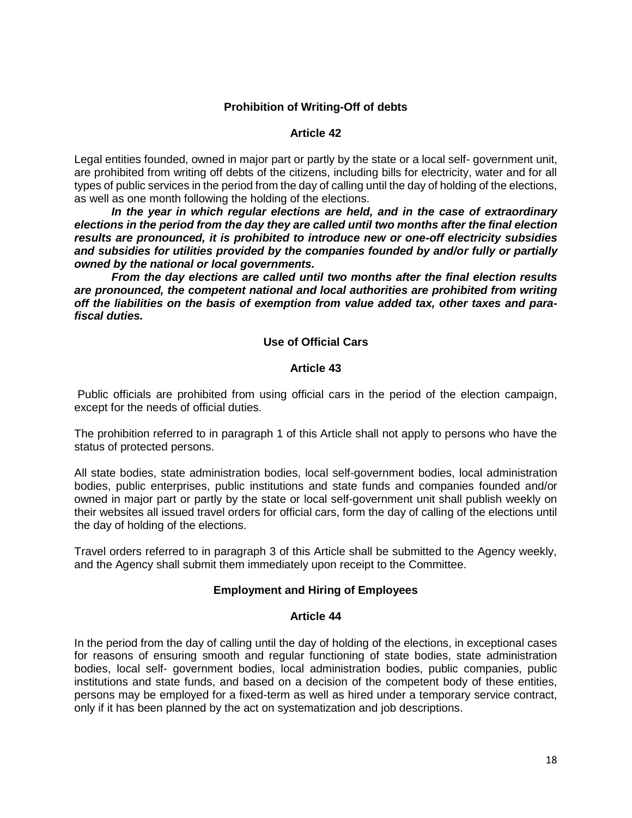## **Prohibition of Writing-Off of debts**

### **Article 42**

Legal entities founded, owned in major part or partly by the state or a local self- government unit, are prohibited from writing off debts of the citizens, including bills for electricity, water and for all types of public services in the period from the day of calling until the day of holding of the elections, as well as one month following the holding of the elections.

*In the year in which regular elections are held, and in the case of extraordinary elections in the period from the day they are called until two months after the final election results are pronounced, it is prohibited to introduce new or one-off electricity subsidies and subsidies for utilities provided by the companies founded by and/or fully or partially owned by the national or local governments.*

*From the day elections are called until two months after the final election results are pronounced, the competent national and local authorities are prohibited from writing off the liabilities on the basis of exemption from value added tax, other taxes and parafiscal duties.*

### **Use of Official Cars**

### **Article 43**

Public officials are prohibited from using official cars in the period of the election campaign, except for the needs of official duties.

The prohibition referred to in paragraph 1 of this Article shall not apply to persons who have the status of protected persons.

All state bodies, state administration bodies, local self-government bodies, local administration bodies, public enterprises, public institutions and state funds and companies founded and/or owned in major part or partly by the state or local self-government unit shall publish weekly on their websites all issued travel orders for official cars, form the day of calling of the elections until the day of holding of the elections.

Travel orders referred to in paragraph 3 of this Article shall be submitted to the Agency weekly, and the Agency shall submit them immediately upon receipt to the Committee.

## **Employment and Hiring of Employees**

#### **Article 44**

In the period from the day of calling until the day of holding of the elections, in exceptional cases for reasons of ensuring smooth and regular functioning of state bodies, state administration bodies, local self- government bodies, local administration bodies, public companies, public institutions and state funds, and based on a decision of the competent body of these entities, persons may be employed for a fixed-term as well as hired under a temporary service contract, only if it has been planned by the act on systematization and job descriptions.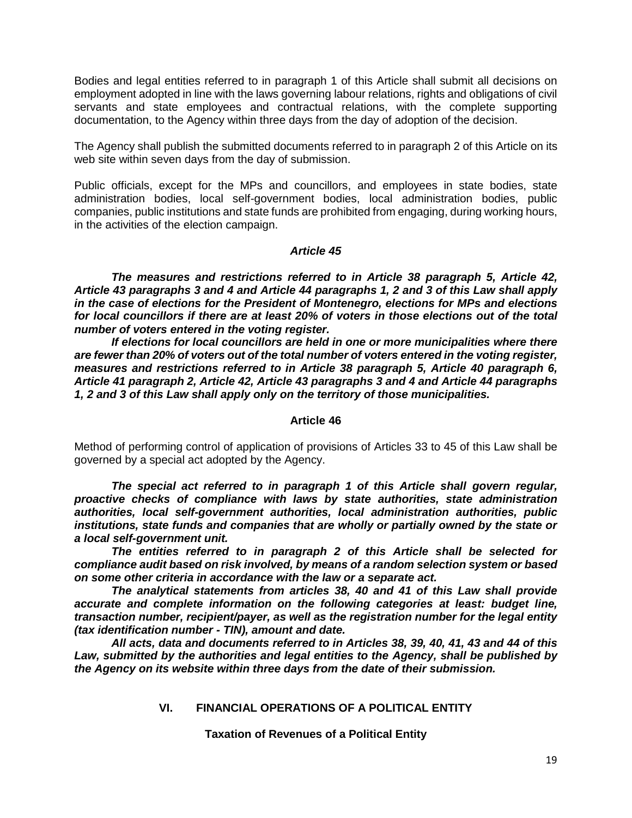Bodies and legal entities referred to in paragraph 1 of this Article shall submit all decisions on employment adopted in line with the laws governing labour relations, rights and obligations of civil servants and state employees and contractual relations, with the complete supporting documentation, to the Agency within three days from the day of adoption of the decision.

The Agency shall publish the submitted documents referred to in paragraph 2 of this Article on its web site within seven days from the day of submission.

Public officials, except for the MPs and councillors, and employees in state bodies, state administration bodies, local self-government bodies, local administration bodies, public companies, public institutions and state funds are prohibited from engaging, during working hours, in the activities of the election campaign.

#### *Article 45*

*The measures and restrictions referred to in Article 38 paragraph 5, Article 42, Article 43 paragraphs 3 and 4 and Article 44 paragraphs 1, 2 and 3 of this Law shall apply in the case of elections for the President of Montenegro, elections for MPs and elections for local councillors if there are at least 20% of voters in those elections out of the total number of voters entered in the voting register.*

*If elections for local councillors are held in one or more municipalities where there are fewer than 20% of voters out of the total number of voters entered in the voting register, measures and restrictions referred to in Article 38 paragraph 5, Article 40 paragraph 6, Article 41 paragraph 2, Article 42, Article 43 paragraphs 3 and 4 and Article 44 paragraphs 1, 2 and 3 of this Law shall apply only on the territory of those municipalities.*

#### **Article 46**

Method of performing control of application of provisions of Articles 33 to 45 of this Law shall be governed by a special act adopted by the Agency.

*The special act referred to in paragraph 1 of this Article shall govern regular, proactive checks of compliance with laws by state authorities, state administration authorities, local self-government authorities, local administration authorities, public institutions, state funds and companies that are wholly or partially owned by the state or a local self-government unit.*

*The entities referred to in paragraph 2 of this Article shall be selected for compliance audit based on risk involved, by means of a random selection system or based on some other criteria in accordance with the law or a separate act.*

*The analytical statements from articles 38, 40 and 41 of this Law shall provide accurate and complete information on the following categories at least: budget line, transaction number, recipient/payer, as well as the registration number for the legal entity (tax identification number - TIN), amount and date.*

*All acts, data and documents referred to in Articles 38, 39, 40, 41, 43 and 44 of this Law, submitted by the authorities and legal entities to the Agency, shall be published by the Agency on its website within three days from the date of their submission.*

#### **VI. FINANCIAL OPERATIONS OF A POLITICAL ENTITY**

#### **Taxation of Revenues of a Political Entity**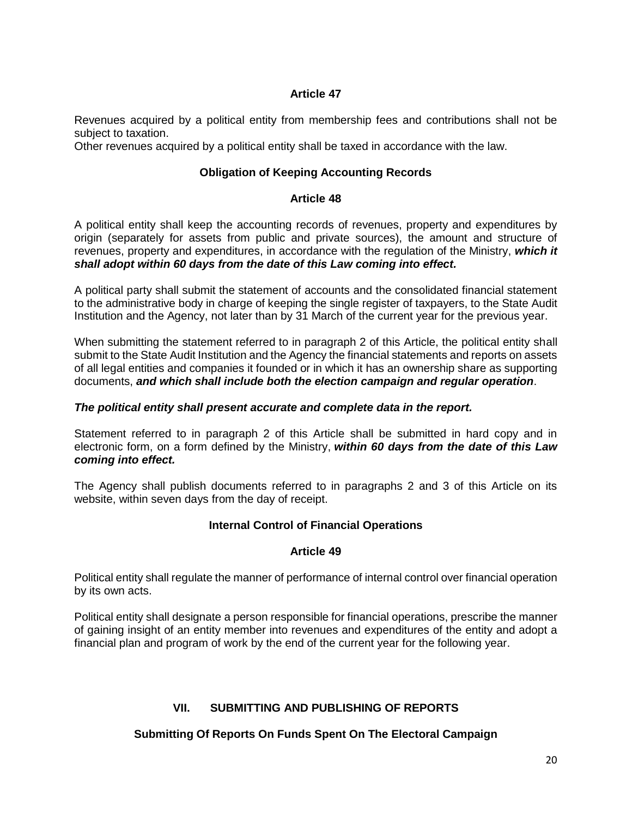Revenues acquired by a political entity from membership fees and contributions shall not be subject to taxation.

Other revenues acquired by a political entity shall be taxed in accordance with the law.

## **Obligation of Keeping Accounting Records**

### **Article 48**

A political entity shall keep the accounting records of revenues, property and expenditures by origin (separately for assets from public and private sources), the amount and structure of revenues, property and expenditures, in accordance with the regulation of the Ministry, *which it shall adopt within 60 days from the date of this Law coming into effect.*

A political party shall submit the statement of accounts and the consolidated financial statement to the administrative body in charge of keeping the single register of taxpayers, to the State Audit Institution and the Agency, not later than by 31 March of the current year for the previous year.

When submitting the statement referred to in paragraph 2 of this Article, the political entity shall submit to the State Audit Institution and the Agency the financial statements and reports on assets of all legal entities and companies it founded or in which it has an ownership share as supporting documents, *and which shall include both the election campaign and regular operation*.

### *The political entity shall present accurate and complete data in the report.*

Statement referred to in paragraph 2 of this Article shall be submitted in hard copy and in electronic form, on a form defined by the Ministry, *within 60 days from the date of this Law coming into effect.*

The Agency shall publish documents referred to in paragraphs 2 and 3 of this Article on its website, within seven days from the day of receipt.

## **Internal Control of Financial Operations**

#### **Article 49**

Political entity shall regulate the manner of performance of internal control over financial operation by its own acts.

Political entity shall designate a person responsible for financial operations, prescribe the manner of gaining insight of an entity member into revenues and expenditures of the entity and adopt a financial plan and program of work by the end of the current year for the following year.

## **VII. SUBMITTING AND PUBLISHING OF REPORTS**

## **Submitting Of Reports On Funds Spent On The Electoral Campaign**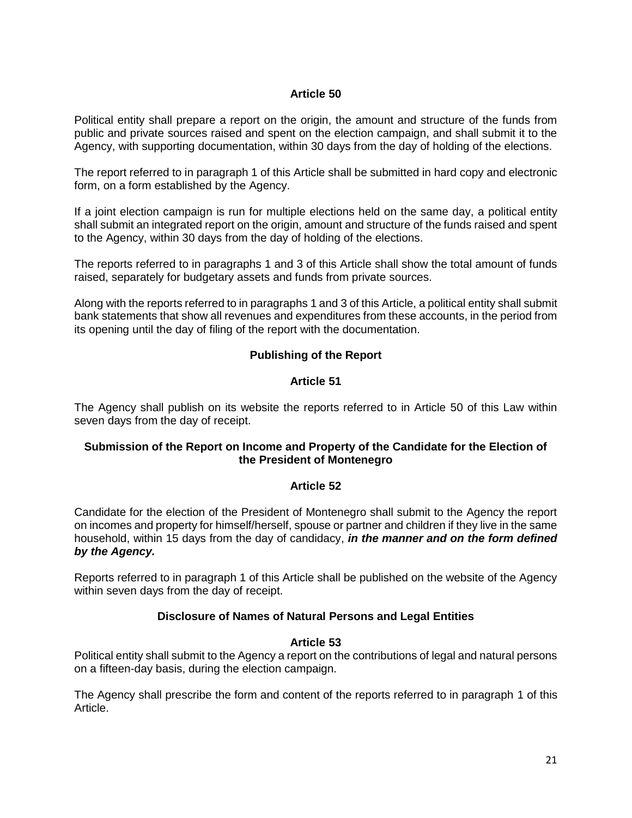Political entity shall prepare a report on the origin, the amount and structure of the funds from public and private sources raised and spent on the election campaign, and shall submit it to the Agency, with supporting documentation, within 30 days from the day of holding of the elections.

The report referred to in paragraph 1 of this Article shall be submitted in hard copy and electronic form, on a form established by the Agency.

If a joint election campaign is run for multiple elections held on the same day, a political entity shall submit an integrated report on the origin, amount and structure of the funds raised and spent to the Agency, within 30 days from the day of holding of the elections.

The reports referred to in paragraphs 1 and 3 of this Article shall show the total amount of funds raised, separately for budgetary assets and funds from private sources.

Along with the reports referred to in paragraphs 1 and 3 of this Article, a political entity shall submit bank statements that show all revenues and expenditures from these accounts, in the period from its opening until the day of filing of the report with the documentation.

## **Publishing of the Report**

### **Article 51**

The Agency shall publish on its website the reports referred to in Article 50 of this Law within seven days from the day of receipt.

## **Submission of the Report on Income and Property of the Candidate for the Election of the President of Montenegro**

#### **Article 52**

Candidate for the election of the President of Montenegro shall submit to the Agency the report on incomes and property for himself/herself, spouse or partner and children if they live in the same household, within 15 days from the day of candidacy, *in the manner and on the form defined by the Agency.*

Reports referred to in paragraph 1 of this Article shall be published on the website of the Agency within seven days from the day of receipt.

## **Disclosure of Names of Natural Persons and Legal Entities**

#### **Article 53**

Political entity shall submit to the Agency a report on the contributions of legal and natural persons on a fifteen-day basis, during the election campaign.

The Agency shall prescribe the form and content of the reports referred to in paragraph 1 of this Article.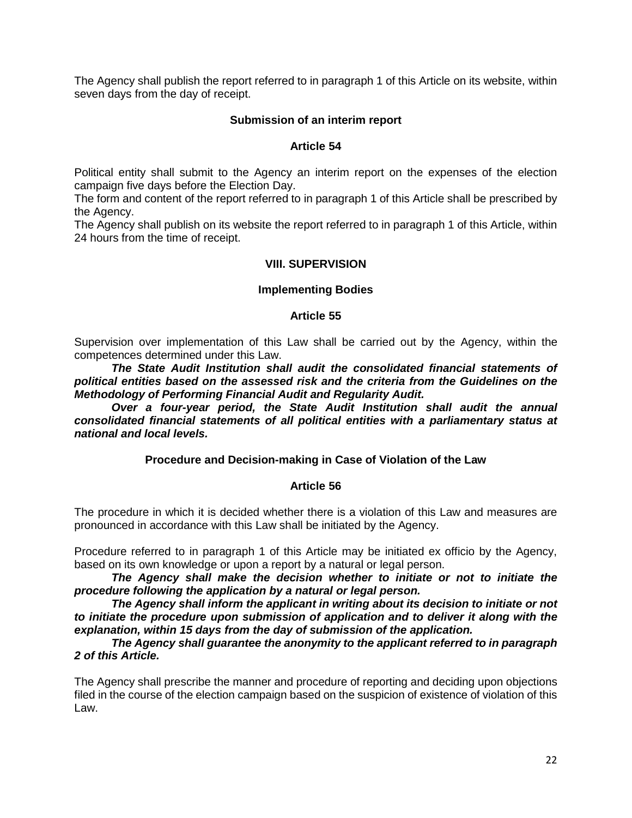The Agency shall publish the report referred to in paragraph 1 of this Article on its website, within seven days from the day of receipt.

### **Submission of an interim report**

#### **Article 54**

Political entity shall submit to the Agency an interim report on the expenses of the election campaign five days before the Election Day.

The form and content of the report referred to in paragraph 1 of this Article shall be prescribed by the Agency.

The Agency shall publish on its website the report referred to in paragraph 1 of this Article, within 24 hours from the time of receipt.

### **VIII. SUPERVISION**

#### **Implementing Bodies**

#### **Article 55**

Supervision over implementation of this Law shall be carried out by the Agency, within the competences determined under this Law.

*The State Audit Institution shall audit the consolidated financial statements of political entities based on the assessed risk and the criteria from the Guidelines on the Methodology of Performing Financial Audit and Regularity Audit.*

*Over a four-year period, the State Audit Institution shall audit the annual consolidated financial statements of all political entities with a parliamentary status at national and local levels.*

#### **Procedure and Decision-making in Case of Violation of the Law**

#### **Article 56**

The procedure in which it is decided whether there is a violation of this Law and measures are pronounced in accordance with this Law shall be initiated by the Agency.

Procedure referred to in paragraph 1 of this Article may be initiated ex officio by the Agency, based on its own knowledge or upon a report by a natural or legal person.

*The Agency shall make the decision whether to initiate or not to initiate the procedure following the application by a natural or legal person.*

*The Agency shall inform the applicant in writing about its decision to initiate or not to initiate the procedure upon submission of application and to deliver it along with the explanation, within 15 days from the day of submission of the application.*

*The Agency shall guarantee the anonymity to the applicant referred to in paragraph 2 of this Article.*

The Agency shall prescribe the manner and procedure of reporting and deciding upon objections filed in the course of the election campaign based on the suspicion of existence of violation of this Law.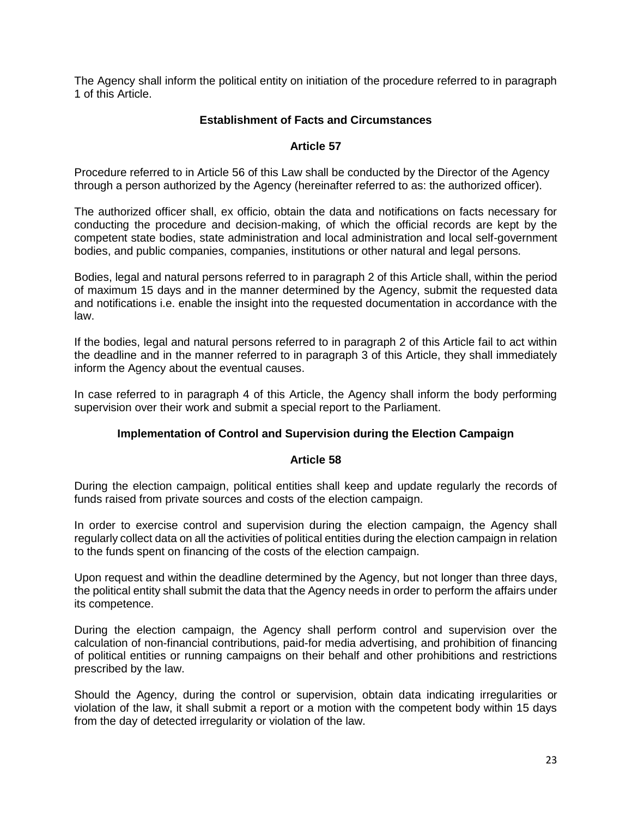The Agency shall inform the political entity on initiation of the procedure referred to in paragraph 1 of this Article.

### **Establishment of Facts and Circumstances**

### **Article 57**

Procedure referred to in Article 56 of this Law shall be conducted by the Director of the Agency through a person authorized by the Agency (hereinafter referred to as: the authorized officer).

The authorized officer shall, ex officio, obtain the data and notifications on facts necessary for conducting the procedure and decision-making, of which the official records are kept by the competent state bodies, state administration and local administration and local self-government bodies, and public companies, companies, institutions or other natural and legal persons.

Bodies, legal and natural persons referred to in paragraph 2 of this Article shall, within the period of maximum 15 days and in the manner determined by the Agency, submit the requested data and notifications i.e. enable the insight into the requested documentation in accordance with the law.

If the bodies, legal and natural persons referred to in paragraph 2 of this Article fail to act within the deadline and in the manner referred to in paragraph 3 of this Article, they shall immediately inform the Agency about the eventual causes.

In case referred to in paragraph 4 of this Article, the Agency shall inform the body performing supervision over their work and submit a special report to the Parliament.

## **Implementation of Control and Supervision during the Election Campaign**

#### **Article 58**

During the election campaign, political entities shall keep and update regularly the records of funds raised from private sources and costs of the election campaign.

In order to exercise control and supervision during the election campaign, the Agency shall regularly collect data on all the activities of political entities during the election campaign in relation to the funds spent on financing of the costs of the election campaign.

Upon request and within the deadline determined by the Agency, but not longer than three days, the political entity shall submit the data that the Agency needs in order to perform the affairs under its competence.

During the election campaign, the Agency shall perform control and supervision over the calculation of non-financial contributions, paid-for media advertising, and prohibition of financing of political entities or running campaigns on their behalf and other prohibitions and restrictions prescribed by the law.

Should the Agency, during the control or supervision, obtain data indicating irregularities or violation of the law, it shall submit a report or a motion with the competent body within 15 days from the day of detected irregularity or violation of the law.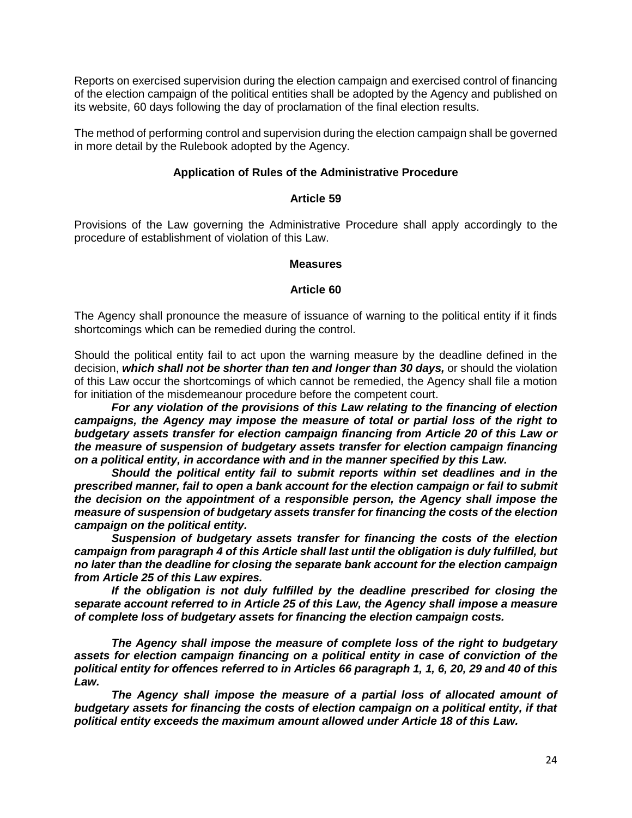Reports on exercised supervision during the election campaign and exercised control of financing of the election campaign of the political entities shall be adopted by the Agency and published on its website, 60 days following the day of proclamation of the final election results.

The method of performing control and supervision during the election campaign shall be governed in more detail by the Rulebook adopted by the Agency.

### **Application of Rules of the Administrative Procedure**

#### **Article 59**

Provisions of the Law governing the Administrative Procedure shall apply accordingly to the procedure of establishment of violation of this Law.

#### **Measures**

#### **Article 60**

The Agency shall pronounce the measure of issuance of warning to the political entity if it finds shortcomings which can be remedied during the control.

Should the political entity fail to act upon the warning measure by the deadline defined in the decision, *which shall not be shorter than ten and longer than 30 days,* or should the violation of this Law occur the shortcomings of which cannot be remedied, the Agency shall file a motion for initiation of the misdemeanour procedure before the competent court.

*For any violation of the provisions of this Law relating to the financing of election campaigns, the Agency may impose the measure of total or partial loss of the right to budgetary assets transfer for election campaign financing from Article 20 of this Law or the measure of suspension of budgetary assets transfer for election campaign financing on a political entity, in accordance with and in the manner specified by this Law.* 

*Should the political entity fail to submit reports within set deadlines and in the prescribed manner, fail to open a bank account for the election campaign or fail to submit the decision on the appointment of a responsible person, the Agency shall impose the measure of suspension of budgetary assets transfer for financing the costs of the election campaign on the political entity.* 

*Suspension of budgetary assets transfer for financing the costs of the election campaign from paragraph 4 of this Article shall last until the obligation is duly fulfilled, but no later than the deadline for closing the separate bank account for the election campaign from Article 25 of this Law expires.* 

*If the obligation is not duly fulfilled by the deadline prescribed for closing the separate account referred to in Article 25 of this Law, the Agency shall impose a measure of complete loss of budgetary assets for financing the election campaign costs.*

*The Agency shall impose the measure of complete loss of the right to budgetary assets for election campaign financing on a political entity in case of conviction of the political entity for offences referred to in Articles 66 paragraph 1, 1, 6, 20, 29 and 40 of this Law.* 

The Agency shall impose the measure of a partial loss of allocated amount of *budgetary assets for financing the costs of election campaign on a political entity, if that political entity exceeds the maximum amount allowed under Article 18 of this Law.*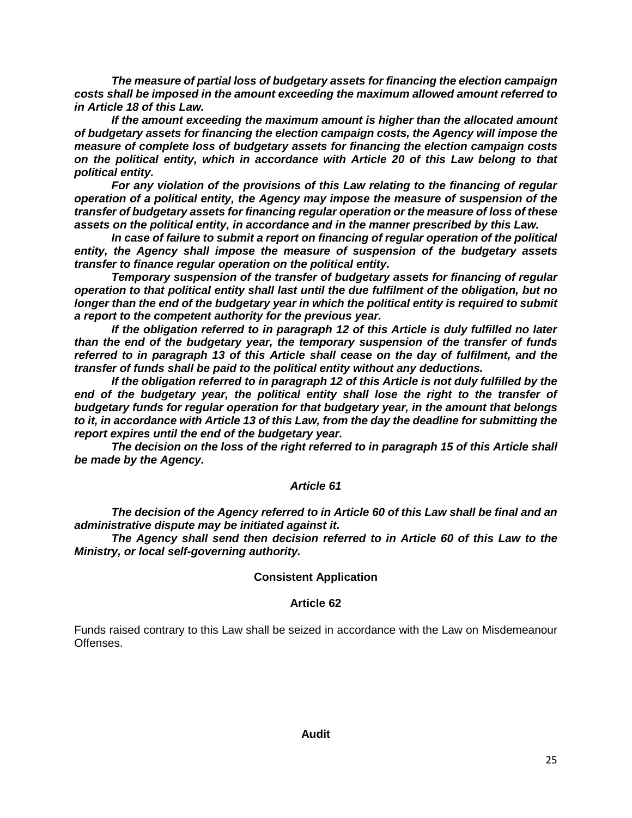*The measure of partial loss of budgetary assets for financing the election campaign costs shall be imposed in the amount exceeding the maximum allowed amount referred to in Article 18 of this Law.*

*If the amount exceeding the maximum amount is higher than the allocated amount of budgetary assets for financing the election campaign costs, the Agency will impose the measure of complete loss of budgetary assets for financing the election campaign costs on the political entity, which in accordance with Article 20 of this Law belong to that political entity.* 

*For any violation of the provisions of this Law relating to the financing of regular operation of a political entity, the Agency may impose the measure of suspension of the transfer of budgetary assets for financing regular operation or the measure of loss of these assets on the political entity, in accordance and in the manner prescribed by this Law.* 

*In case of failure to submit a report on financing of regular operation of the political entity, the Agency shall impose the measure of suspension of the budgetary assets transfer to finance regular operation on the political entity.*

*Temporary suspension of the transfer of budgetary assets for financing of regular operation to that political entity shall last until the due fulfilment of the obligation, but no longer than the end of the budgetary year in which the political entity is required to submit a report to the competent authority for the previous year.* 

*If the obligation referred to in paragraph 12 of this Article is duly fulfilled no later than the end of the budgetary year, the temporary suspension of the transfer of funds referred to in paragraph 13 of this Article shall cease on the day of fulfilment, and the transfer of funds shall be paid to the political entity without any deductions.* 

*If the obligation referred to in paragraph 12 of this Article is not duly fulfilled by the end of the budgetary year, the political entity shall lose the right to the transfer of budgetary funds for regular operation for that budgetary year, in the amount that belongs to it, in accordance with Article 13 of this Law, from the day the deadline for submitting the report expires until the end of the budgetary year.* 

*The decision on the loss of the right referred to in paragraph 15 of this Article shall be made by the Agency.*

## *Article 61*

*The decision of the Agency referred to in Article 60 of this Law shall be final and an administrative dispute may be initiated against it.*

*The Agency shall send then decision referred to in Article 60 of this Law to the Ministry, or local self-governing authority.*

## **Consistent Application**

## **Article 62**

Funds raised contrary to this Law shall be seized in accordance with the Law on Misdemeanour Offenses.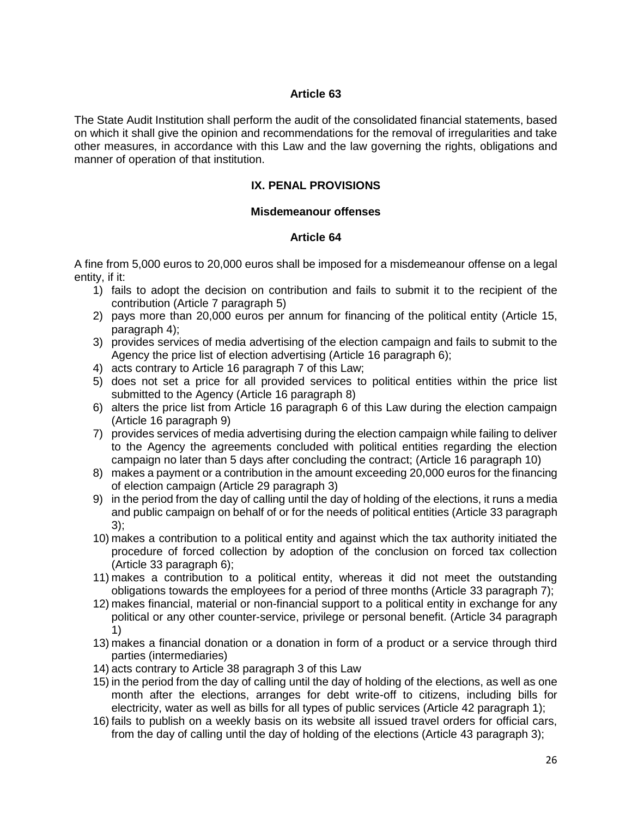The State Audit Institution shall perform the audit of the consolidated financial statements, based on which it shall give the opinion and recommendations for the removal of irregularities and take other measures, in accordance with this Law and the law governing the rights, obligations and manner of operation of that institution.

## **IX. PENAL PROVISIONS**

#### **Misdemeanour offenses**

#### **Article 64**

A fine from 5,000 euros to 20,000 euros shall be imposed for a misdemeanour offense on a legal entity, if it:

- 1) fails to adopt the decision on contribution and fails to submit it to the recipient of the contribution (Article 7 paragraph 5)
- 2) pays more than 20,000 euros per annum for financing of the political entity (Article 15, paragraph 4);
- 3) provides services of media advertising of the election campaign and fails to submit to the Agency the price list of election advertising (Article 16 paragraph 6);
- 4) acts contrary to Article 16 paragraph 7 of this Law;
- 5) does not set a price for all provided services to political entities within the price list submitted to the Agency (Article 16 paragraph 8)
- 6) alters the price list from Article 16 paragraph 6 of this Law during the election campaign (Article 16 paragraph 9)
- 7) provides services of media advertising during the election campaign while failing to deliver to the Agency the agreements concluded with political entities regarding the election campaign no later than 5 days after concluding the contract; (Article 16 paragraph 10)
- 8) makes a payment or a contribution in the amount exceeding 20,000 euros for the financing of election campaign (Article 29 paragraph 3)
- 9) in the period from the day of calling until the day of holding of the elections, it runs a media and public campaign on behalf of or for the needs of political entities (Article 33 paragraph 3);
- 10) makes a contribution to a political entity and against which the tax authority initiated the procedure of forced collection by adoption of the conclusion on forced tax collection (Article 33 paragraph 6);
- 11) makes a contribution to a political entity, whereas it did not meet the outstanding obligations towards the employees for a period of three months (Article 33 paragraph 7);
- 12) makes financial, material or non-financial support to a political entity in exchange for any political or any other counter-service, privilege or personal benefit. (Article 34 paragraph 1)
- 13) makes a financial donation or a donation in form of a product or a service through third parties (intermediaries)
- 14) acts contrary to Article 38 paragraph 3 of this Law
- 15) in the period from the day of calling until the day of holding of the elections, as well as one month after the elections, arranges for debt write-off to citizens, including bills for electricity, water as well as bills for all types of public services (Article 42 paragraph 1);
- 16) fails to publish on a weekly basis on its website all issued travel orders for official cars, from the day of calling until the day of holding of the elections (Article 43 paragraph 3);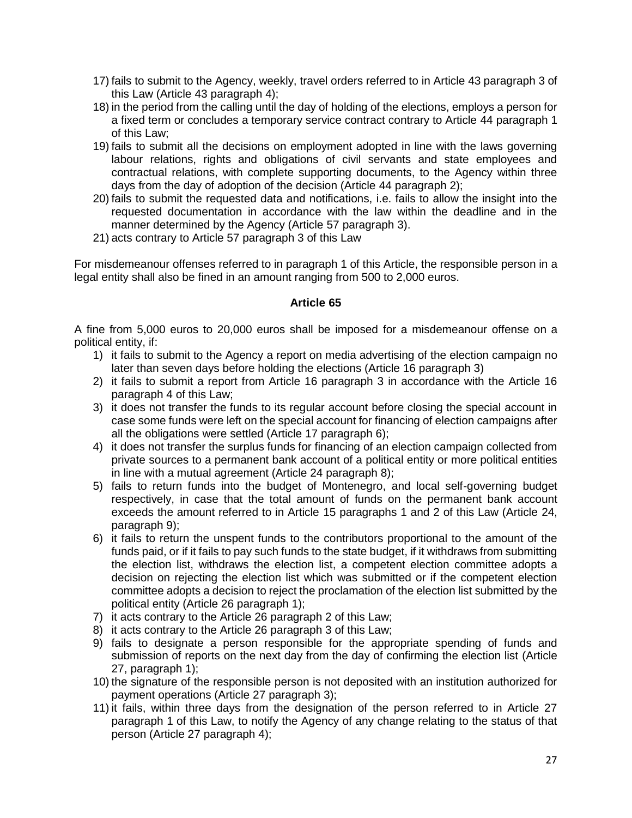- 17) fails to submit to the Agency, weekly, travel orders referred to in Article 43 paragraph 3 of this Law (Article 43 paragraph 4);
- 18) in the period from the calling until the day of holding of the elections, employs a person for a fixed term or concludes a temporary service contract contrary to Article 44 paragraph 1 of this Law;
- 19) fails to submit all the decisions on employment adopted in line with the laws governing labour relations, rights and obligations of civil servants and state employees and contractual relations, with complete supporting documents, to the Agency within three days from the day of adoption of the decision (Article 44 paragraph 2);
- 20) fails to submit the requested data and notifications, i.e. fails to allow the insight into the requested documentation in accordance with the law within the deadline and in the manner determined by the Agency (Article 57 paragraph 3).
- 21) acts contrary to Article 57 paragraph 3 of this Law

For misdemeanour offenses referred to in paragraph 1 of this Article, the responsible person in a legal entity shall also be fined in an amount ranging from 500 to 2,000 euros.

## **Article 65**

A fine from 5,000 euros to 20,000 euros shall be imposed for a misdemeanour offense on a political entity, if:

- 1) it fails to submit to the Agency a report on media advertising of the election campaign no later than seven days before holding the elections (Article 16 paragraph 3)
- 2) it fails to submit a report from Article 16 paragraph 3 in accordance with the Article 16 paragraph 4 of this Law;
- 3) it does not transfer the funds to its regular account before closing the special account in case some funds were left on the special account for financing of election campaigns after all the obligations were settled (Article 17 paragraph 6);
- 4) it does not transfer the surplus funds for financing of an election campaign collected from private sources to a permanent bank account of a political entity or more political entities in line with a mutual agreement (Article 24 paragraph 8);
- 5) fails to return funds into the budget of Montenegro, and local self-governing budget respectively, in case that the total amount of funds on the permanent bank account exceeds the amount referred to in Article 15 paragraphs 1 and 2 of this Law (Article 24, paragraph 9);
- 6) it fails to return the unspent funds to the contributors proportional to the amount of the funds paid, or if it fails to pay such funds to the state budget, if it withdraws from submitting the election list, withdraws the election list, a competent election committee adopts a decision on rejecting the election list which was submitted or if the competent election committee adopts a decision to reject the proclamation of the election list submitted by the political entity (Article 26 paragraph 1);
- 7) it acts contrary to the Article 26 paragraph 2 of this Law;
- 8) it acts contrary to the Article 26 paragraph 3 of this Law;
- 9) fails to designate a person responsible for the appropriate spending of funds and submission of reports on the next day from the day of confirming the election list (Article 27, paragraph 1);
- 10) the signature of the responsible person is not deposited with an institution authorized for payment operations (Article 27 paragraph 3);
- 11) it fails, within three days from the designation of the person referred to in Article 27 paragraph 1 of this Law, to notify the Agency of any change relating to the status of that person (Article 27 paragraph 4);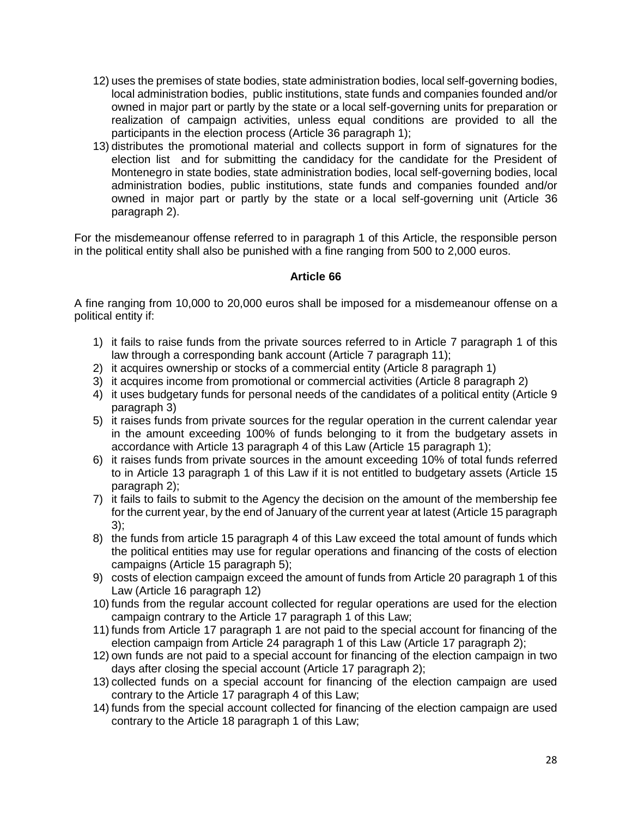- 12) uses the premises of state bodies, state administration bodies, local self-governing bodies, local administration bodies, public institutions, state funds and companies founded and/or owned in major part or partly by the state or a local self-governing units for preparation or realization of campaign activities, unless equal conditions are provided to all the participants in the election process (Article 36 paragraph 1);
- 13) distributes the promotional material and collects support in form of signatures for the election list and for submitting the candidacy for the candidate for the President of Montenegro in state bodies, state administration bodies, local self-governing bodies, local administration bodies, public institutions, state funds and companies founded and/or owned in major part or partly by the state or a local self-governing unit (Article 36 paragraph 2).

For the misdemeanour offense referred to in paragraph 1 of this Article, the responsible person in the political entity shall also be punished with a fine ranging from 500 to 2,000 euros.

## **Article 66**

A fine ranging from 10,000 to 20,000 euros shall be imposed for a misdemeanour offense on a political entity if:

- 1) it fails to raise funds from the private sources referred to in Article 7 paragraph 1 of this law through a corresponding bank account (Article 7 paragraph 11);
- 2) it acquires ownership or stocks of a commercial entity (Article 8 paragraph 1)
- 3) it acquires income from promotional or commercial activities (Article 8 paragraph 2)
- 4) it uses budgetary funds for personal needs of the candidates of a political entity (Article 9 paragraph 3)
- 5) it raises funds from private sources for the regular operation in the current calendar year in the amount exceeding 100% of funds belonging to it from the budgetary assets in accordance with Article 13 paragraph 4 of this Law (Article 15 paragraph 1);
- 6) it raises funds from private sources in the amount exceeding 10% of total funds referred to in Article 13 paragraph 1 of this Law if it is not entitled to budgetary assets (Article 15 paragraph 2);
- 7) it fails to fails to submit to the Agency the decision on the amount of the membership fee for the current year, by the end of January of the current year at latest (Article 15 paragraph 3);
- 8) the funds from article 15 paragraph 4 of this Law exceed the total amount of funds which the political entities may use for regular operations and financing of the costs of election campaigns (Article 15 paragraph 5);
- 9) costs of election campaign exceed the amount of funds from Article 20 paragraph 1 of this Law (Article 16 paragraph 12)
- 10) funds from the regular account collected for regular operations are used for the election campaign contrary to the Article 17 paragraph 1 of this Law;
- 11) funds from Article 17 paragraph 1 are not paid to the special account for financing of the election campaign from Article 24 paragraph 1 of this Law (Article 17 paragraph 2);
- 12) own funds are not paid to a special account for financing of the election campaign in two days after closing the special account (Article 17 paragraph 2);
- 13) collected funds on a special account for financing of the election campaign are used contrary to the Article 17 paragraph 4 of this Law;
- 14) funds from the special account collected for financing of the election campaign are used contrary to the Article 18 paragraph 1 of this Law;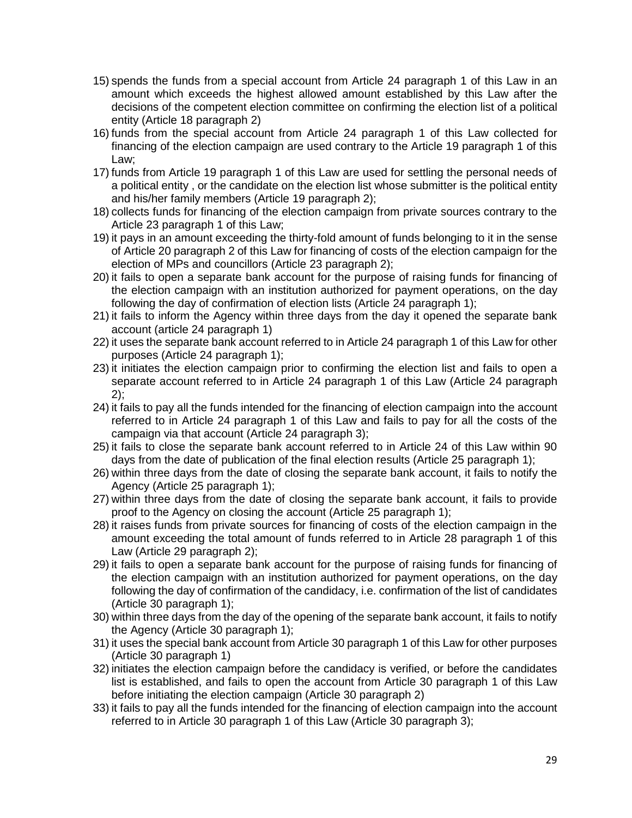- 15) spends the funds from a special account from Article 24 paragraph 1 of this Law in an amount which exceeds the highest allowed amount established by this Law after the decisions of the competent election committee on confirming the election list of a political entity (Article 18 paragraph 2)
- 16) funds from the special account from Article 24 paragraph 1 of this Law collected for financing of the election campaign are used contrary to the Article 19 paragraph 1 of this Law;
- 17) funds from Article 19 paragraph 1 of this Law are used for settling the personal needs of a political entity , or the candidate on the election list whose submitter is the political entity and his/her family members (Article 19 paragraph 2);
- 18) collects funds for financing of the election campaign from private sources contrary to the Article 23 paragraph 1 of this Law;
- 19) it pays in an amount exceeding the thirty-fold amount of funds belonging to it in the sense of Article 20 paragraph 2 of this Law for financing of costs of the election campaign for the election of MPs and councillors (Article 23 paragraph 2);
- 20) it fails to open a separate bank account for the purpose of raising funds for financing of the election campaign with an institution authorized for payment operations, on the day following the day of confirmation of election lists (Article 24 paragraph 1);
- 21) it fails to inform the Agency within three days from the day it opened the separate bank account (article 24 paragraph 1)
- 22) it uses the separate bank account referred to in Article 24 paragraph 1 of this Law for other purposes (Article 24 paragraph 1);
- 23) it initiates the election campaign prior to confirming the election list and fails to open a separate account referred to in Article 24 paragraph 1 of this Law (Article 24 paragraph  $2$ :
- 24) it fails to pay all the funds intended for the financing of election campaign into the account referred to in Article 24 paragraph 1 of this Law and fails to pay for all the costs of the campaign via that account (Article 24 paragraph 3);
- 25) it fails to close the separate bank account referred to in Article 24 of this Law within 90 days from the date of publication of the final election results (Article 25 paragraph 1);
- 26) within three days from the date of closing the separate bank account, it fails to notify the Agency (Article 25 paragraph 1);
- 27) within three days from the date of closing the separate bank account, it fails to provide proof to the Agency on closing the account (Article 25 paragraph 1);
- 28) it raises funds from private sources for financing of costs of the election campaign in the amount exceeding the total amount of funds referred to in Article 28 paragraph 1 of this Law (Article 29 paragraph 2);
- 29) it fails to open a separate bank account for the purpose of raising funds for financing of the election campaign with an institution authorized for payment operations, on the day following the day of confirmation of the candidacy, i.e. confirmation of the list of candidates (Article 30 paragraph 1);
- 30) within three days from the day of the opening of the separate bank account, it fails to notify the Agency (Article 30 paragraph 1);
- 31) it uses the special bank account from Article 30 paragraph 1 of this Law for other purposes (Article 30 paragraph 1)
- 32) initiates the election campaign before the candidacy is verified, or before the candidates list is established, and fails to open the account from Article 30 paragraph 1 of this Law before initiating the election campaign (Article 30 paragraph 2)
- 33) it fails to pay all the funds intended for the financing of election campaign into the account referred to in Article 30 paragraph 1 of this Law (Article 30 paragraph 3);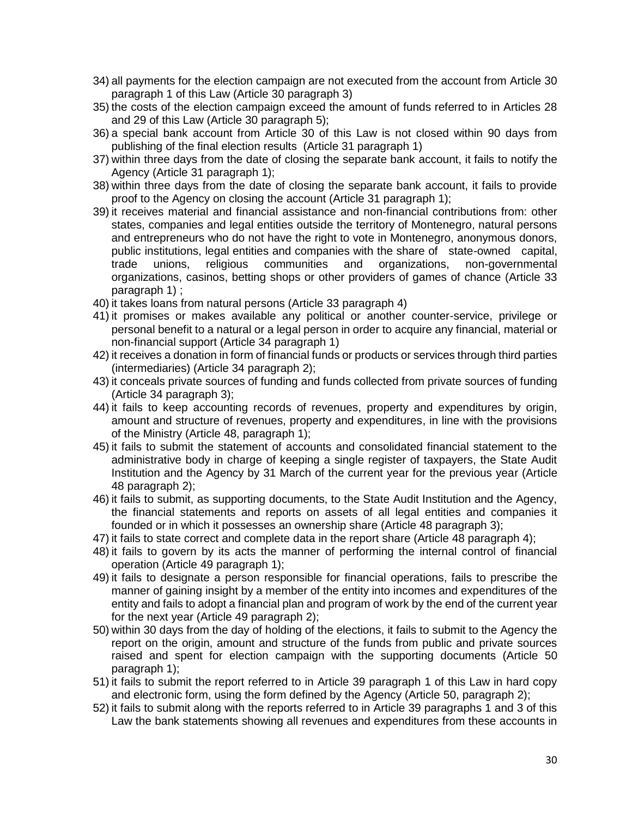- 34) all payments for the election campaign are not executed from the account from Article 30 paragraph 1 of this Law (Article 30 paragraph 3)
- 35) the costs of the election campaign exceed the amount of funds referred to in Articles 28 and 29 of this Law (Article 30 paragraph 5);
- 36) a special bank account from Article 30 of this Law is not closed within 90 days from publishing of the final election results (Article 31 paragraph 1)
- 37) within three days from the date of closing the separate bank account, it fails to notify the Agency (Article 31 paragraph 1);
- 38) within three days from the date of closing the separate bank account, it fails to provide proof to the Agency on closing the account (Article 31 paragraph 1);
- 39) it receives material and financial assistance and non-financial contributions from: other states, companies and legal entities outside the territory of Montenegro, natural persons and entrepreneurs who do not have the right to vote in Montenegro, anonymous donors, public institutions, legal entities and companies with the share of state-owned capital, trade unions, religious communities and organizations, non-governmental organizations, casinos, betting shops or other providers of games of chance (Article 33 paragraph 1) ;
- 40) it takes loans from natural persons (Article 33 paragraph 4)
- 41) it promises or makes available any political or another counter-service, privilege or personal benefit to a natural or a legal person in order to acquire any financial, material or non-financial support (Article 34 paragraph 1)
- 42) it receives a donation in form of financial funds or products or services through third parties (intermediaries) (Article 34 paragraph 2);
- 43) it conceals private sources of funding and funds collected from private sources of funding (Article 34 paragraph 3);
- 44) it fails to keep accounting records of revenues, property and expenditures by origin, amount and structure of revenues, property and expenditures, in line with the provisions of the Ministry (Article 48, paragraph 1);
- 45) it fails to submit the statement of accounts and consolidated financial statement to the administrative body in charge of keeping a single register of taxpayers, the State Audit Institution and the Agency by 31 March of the current year for the previous year (Article 48 paragraph 2);
- 46) it fails to submit, as supporting documents, to the State Audit Institution and the Agency, the financial statements and reports on assets of all legal entities and companies it founded or in which it possesses an ownership share (Article 48 paragraph 3);
- 47) it fails to state correct and complete data in the report share (Article 48 paragraph 4);
- 48) it fails to govern by its acts the manner of performing the internal control of financial operation (Article 49 paragraph 1);
- 49) it fails to designate a person responsible for financial operations, fails to prescribe the manner of gaining insight by a member of the entity into incomes and expenditures of the entity and fails to adopt a financial plan and program of work by the end of the current year for the next year (Article 49 paragraph 2);
- 50) within 30 days from the day of holding of the elections, it fails to submit to the Agency the report on the origin, amount and structure of the funds from public and private sources raised and spent for election campaign with the supporting documents (Article 50 paragraph 1);
- 51) it fails to submit the report referred to in Article 39 paragraph 1 of this Law in hard copy and electronic form, using the form defined by the Agency (Article 50, paragraph 2);
- 52) it fails to submit along with the reports referred to in Article 39 paragraphs 1 and 3 of this Law the bank statements showing all revenues and expenditures from these accounts in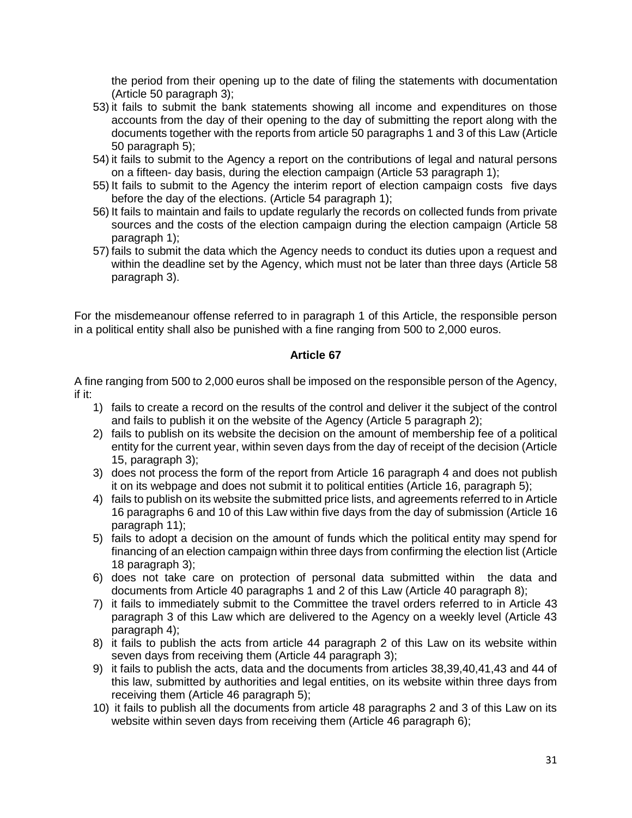the period from their opening up to the date of filing the statements with documentation (Article 50 paragraph 3);

- 53) it fails to submit the bank statements showing all income and expenditures on those accounts from the day of their opening to the day of submitting the report along with the documents together with the reports from article 50 paragraphs 1 and 3 of this Law (Article 50 paragraph 5);
- 54) it fails to submit to the Agency a report on the contributions of legal and natural persons on a fifteen- day basis, during the election campaign (Article 53 paragraph 1);
- 55) It fails to submit to the Agency the interim report of election campaign costs five days before the day of the elections. (Article 54 paragraph 1);
- 56) It fails to maintain and fails to update regularly the records on collected funds from private sources and the costs of the election campaign during the election campaign (Article 58 paragraph 1);
- 57) fails to submit the data which the Agency needs to conduct its duties upon a request and within the deadline set by the Agency, which must not be later than three days (Article 58 paragraph 3).

For the misdemeanour offense referred to in paragraph 1 of this Article, the responsible person in a political entity shall also be punished with a fine ranging from 500 to 2,000 euros.

### **Article 67**

A fine ranging from 500 to 2,000 euros shall be imposed on the responsible person of the Agency, if it:

- 1) fails to create a record on the results of the control and deliver it the subject of the control and fails to publish it on the website of the Agency (Article 5 paragraph 2);
- 2) fails to publish on its website the decision on the amount of membership fee of a political entity for the current year, within seven days from the day of receipt of the decision (Article 15, paragraph 3);
- 3) does not process the form of the report from Article 16 paragraph 4 and does not publish it on its webpage and does not submit it to political entities (Article 16, paragraph 5);
- 4) fails to publish on its website the submitted price lists, and agreements referred to in Article 16 paragraphs 6 and 10 of this Law within five days from the day of submission (Article 16 paragraph 11);
- 5) fails to adopt a decision on the amount of funds which the political entity may spend for financing of an election campaign within three days from confirming the election list (Article 18 paragraph 3);
- 6) does not take care on protection of personal data submitted within the data and documents from Article 40 paragraphs 1 and 2 of this Law (Article 40 paragraph 8);
- 7) it fails to immediately submit to the Committee the travel orders referred to in Article 43 paragraph 3 of this Law which are delivered to the Agency on a weekly level (Article 43 paragraph 4);
- 8) it fails to publish the acts from article 44 paragraph 2 of this Law on its website within seven days from receiving them (Article 44 paragraph 3);
- 9) it fails to publish the acts, data and the documents from articles 38,39,40,41,43 and 44 of this law, submitted by authorities and legal entities, on its website within three days from receiving them (Article 46 paragraph 5);
- 10) it fails to publish all the documents from article 48 paragraphs 2 and 3 of this Law on its website within seven days from receiving them (Article 46 paragraph 6);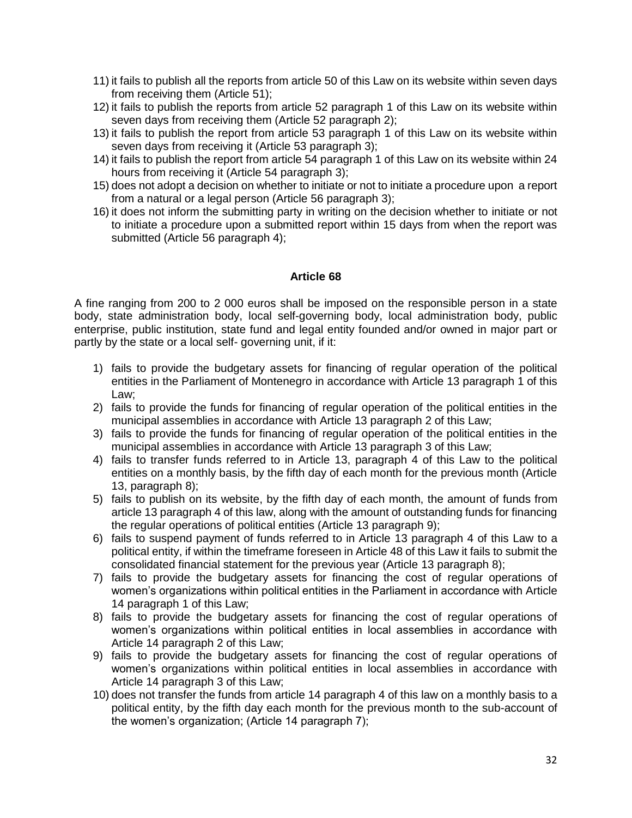- 11) it fails to publish all the reports from article 50 of this Law on its website within seven days from receiving them (Article 51);
- 12) it fails to publish the reports from article 52 paragraph 1 of this Law on its website within seven days from receiving them (Article 52 paragraph 2);
- 13) it fails to publish the report from article 53 paragraph 1 of this Law on its website within seven days from receiving it (Article 53 paragraph 3);
- 14) it fails to publish the report from article 54 paragraph 1 of this Law on its website within 24 hours from receiving it (Article 54 paragraph 3);
- 15) does not adopt a decision on whether to initiate or not to initiate a procedure upon a report from a natural or a legal person (Article 56 paragraph 3);
- 16) it does not inform the submitting party in writing on the decision whether to initiate or not to initiate a procedure upon a submitted report within 15 days from when the report was submitted (Article 56 paragraph 4);

A fine ranging from 200 to 2 000 euros shall be imposed on the responsible person in a state body, state administration body, local self-governing body, local administration body, public enterprise, public institution, state fund and legal entity founded and/or owned in major part or partly by the state or a local self- governing unit, if it:

- 1) fails to provide the budgetary assets for financing of regular operation of the political entities in the Parliament of Montenegro in accordance with Article 13 paragraph 1 of this Law;
- 2) fails to provide the funds for financing of regular operation of the political entities in the municipal assemblies in accordance with Article 13 paragraph 2 of this Law;
- 3) fails to provide the funds for financing of regular operation of the political entities in the municipal assemblies in accordance with Article 13 paragraph 3 of this Law;
- 4) fails to transfer funds referred to in Article 13, paragraph 4 of this Law to the political entities on a monthly basis, by the fifth day of each month for the previous month (Article 13, paragraph 8);
- 5) fails to publish on its website, by the fifth day of each month, the amount of funds from article 13 paragraph 4 of this law, along with the amount of outstanding funds for financing the regular operations of political entities (Article 13 paragraph 9);
- 6) fails to suspend payment of funds referred to in Article 13 paragraph 4 of this Law to a political entity, if within the timeframe foreseen in Article 48 of this Law it fails to submit the consolidated financial statement for the previous year (Article 13 paragraph 8);
- 7) fails to provide the budgetary assets for financing the cost of regular operations of women's organizations within political entities in the Parliament in accordance with Article 14 paragraph 1 of this Law;
- 8) fails to provide the budgetary assets for financing the cost of regular operations of women's organizations within political entities in local assemblies in accordance with Article 14 paragraph 2 of this Law;
- 9) fails to provide the budgetary assets for financing the cost of regular operations of women's organizations within political entities in local assemblies in accordance with Article 14 paragraph 3 of this Law;
- 10) does not transfer the funds from article 14 paragraph 4 of this law on a monthly basis to a political entity, by the fifth day each month for the previous month to the sub-account of the women's organization; (Article 14 paragraph 7);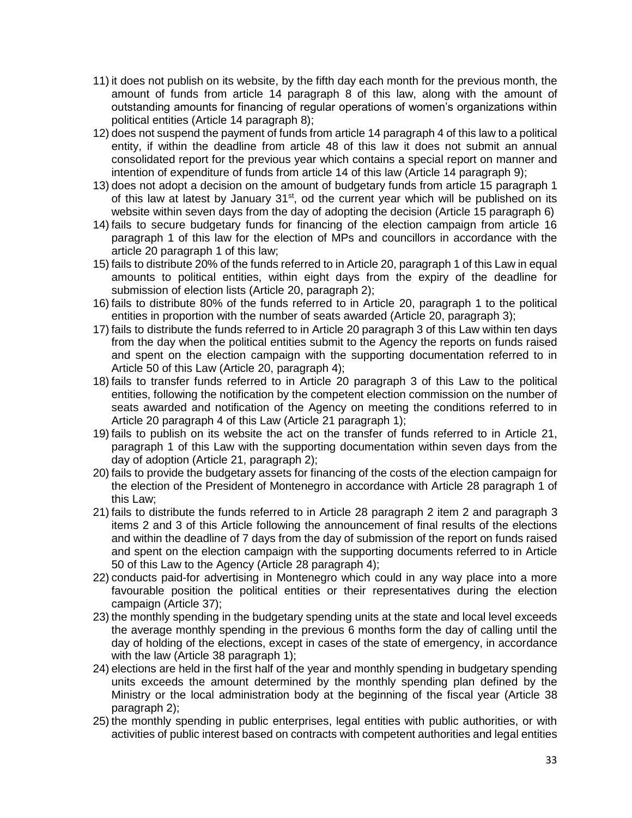- 11) it does not publish on its website, by the fifth day each month for the previous month, the amount of funds from article 14 paragraph 8 of this law, along with the amount of outstanding amounts for financing of regular operations of women's organizations within political entities (Article 14 paragraph 8);
- 12) does not suspend the payment of funds from article 14 paragraph 4 of this law to a political entity, if within the deadline from article 48 of this law it does not submit an annual consolidated report for the previous year which contains a special report on manner and intention of expenditure of funds from article 14 of this law (Article 14 paragraph 9);
- 13) does not adopt a decision on the amount of budgetary funds from article 15 paragraph 1 of this law at latest by January  $31<sup>st</sup>$ , od the current year which will be published on its website within seven days from the day of adopting the decision (Article 15 paragraph 6)
- 14) fails to secure budgetary funds for financing of the election campaign from article 16 paragraph 1 of this law for the election of MPs and councillors in accordance with the article 20 paragraph 1 of this law;
- 15) fails to distribute 20% of the funds referred to in Article 20, paragraph 1 of this Law in equal amounts to political entities, within eight days from the expiry of the deadline for submission of election lists (Article 20, paragraph 2);
- 16) fails to distribute 80% of the funds referred to in Article 20, paragraph 1 to the political entities in proportion with the number of seats awarded (Article 20, paragraph 3);
- 17) fails to distribute the funds referred to in Article 20 paragraph 3 of this Law within ten days from the day when the political entities submit to the Agency the reports on funds raised and spent on the election campaign with the supporting documentation referred to in Article 50 of this Law (Article 20, paragraph 4);
- 18) fails to transfer funds referred to in Article 20 paragraph 3 of this Law to the political entities, following the notification by the competent election commission on the number of seats awarded and notification of the Agency on meeting the conditions referred to in Article 20 paragraph 4 of this Law (Article 21 paragraph 1);
- 19) fails to publish on its website the act on the transfer of funds referred to in Article 21, paragraph 1 of this Law with the supporting documentation within seven days from the day of adoption (Article 21, paragraph 2);
- 20) fails to provide the budgetary assets for financing of the costs of the election campaign for the election of the President of Montenegro in accordance with Article 28 paragraph 1 of this Law;
- 21) fails to distribute the funds referred to in Article 28 paragraph 2 item 2 and paragraph 3 items 2 and 3 of this Article following the announcement of final results of the elections and within the deadline of 7 days from the day of submission of the report on funds raised and spent on the election campaign with the supporting documents referred to in Article 50 of this Law to the Agency (Article 28 paragraph 4);
- 22) conducts paid-for advertising in Montenegro which could in any way place into a more favourable position the political entities or their representatives during the election campaign (Article 37);
- 23) the monthly spending in the budgetary spending units at the state and local level exceeds the average monthly spending in the previous 6 months form the day of calling until the day of holding of the elections, except in cases of the state of emergency, in accordance with the law (Article 38 paragraph 1);
- 24) elections are held in the first half of the year and monthly spending in budgetary spending units exceeds the amount determined by the monthly spending plan defined by the Ministry or the local administration body at the beginning of the fiscal year (Article 38 paragraph 2);
- 25) the monthly spending in public enterprises, legal entities with public authorities, or with activities of public interest based on contracts with competent authorities and legal entities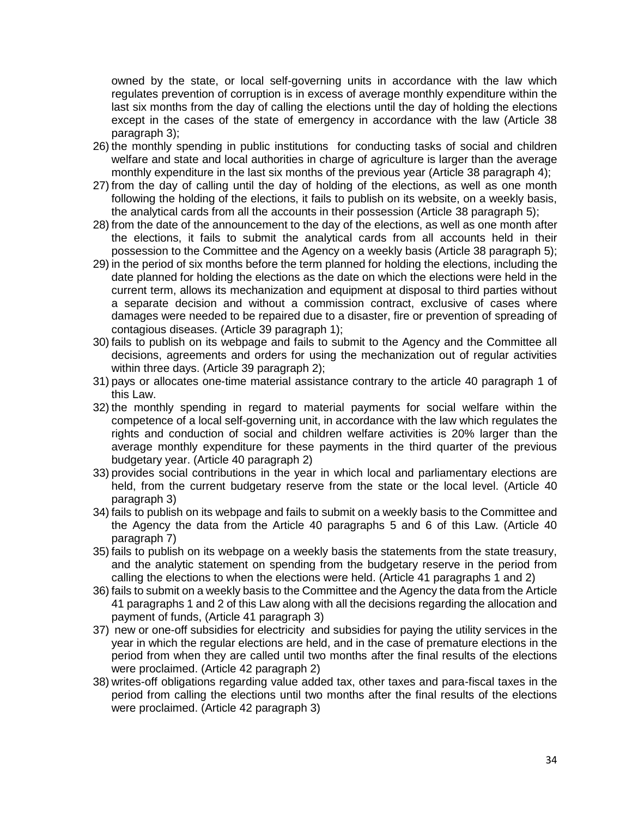owned by the state, or local self-governing units in accordance with the law which regulates prevention of corruption is in excess of average monthly expenditure within the last six months from the day of calling the elections until the day of holding the elections except in the cases of the state of emergency in accordance with the law (Article 38 paragraph 3);

- 26) the monthly spending in public institutions for conducting tasks of social and children welfare and state and local authorities in charge of agriculture is larger than the average monthly expenditure in the last six months of the previous year (Article 38 paragraph 4);
- 27) from the day of calling until the day of holding of the elections, as well as one month following the holding of the elections, it fails to publish on its website, on a weekly basis, the analytical cards from all the accounts in their possession (Article 38 paragraph 5);
- 28) from the date of the announcement to the day of the elections, as well as one month after the elections, it fails to submit the analytical cards from all accounts held in their possession to the Committee and the Agency on a weekly basis (Article 38 paragraph 5);
- 29) in the period of six months before the term planned for holding the elections, including the date planned for holding the elections as the date on which the elections were held in the current term, allows its mechanization and equipment at disposal to third parties without a separate decision and without a commission contract, exclusive of cases where damages were needed to be repaired due to a disaster, fire or prevention of spreading of contagious diseases. (Article 39 paragraph 1);
- 30) fails to publish on its webpage and fails to submit to the Agency and the Committee all decisions, agreements and orders for using the mechanization out of regular activities within three days. (Article 39 paragraph 2);
- 31) pays or allocates one-time material assistance contrary to the article 40 paragraph 1 of this Law.
- 32) the monthly spending in regard to material payments for social welfare within the competence of a local self-governing unit, in accordance with the law which regulates the rights and conduction of social and children welfare activities is 20% larger than the average monthly expenditure for these payments in the third quarter of the previous budgetary year. (Article 40 paragraph 2)
- 33) provides social contributions in the year in which local and parliamentary elections are held, from the current budgetary reserve from the state or the local level. (Article 40 paragraph 3)
- 34) fails to publish on its webpage and fails to submit on a weekly basis to the Committee and the Agency the data from the Article 40 paragraphs 5 and 6 of this Law. (Article 40 paragraph 7)
- 35) fails to publish on its webpage on a weekly basis the statements from the state treasury, and the analytic statement on spending from the budgetary reserve in the period from calling the elections to when the elections were held. (Article 41 paragraphs 1 and 2)
- 36) fails to submit on a weekly basis to the Committee and the Agency the data from the Article 41 paragraphs 1 and 2 of this Law along with all the decisions regarding the allocation and payment of funds, (Article 41 paragraph 3)
- 37) new or one-off subsidies for electricity and subsidies for paying the utility services in the year in which the regular elections are held, and in the case of premature elections in the period from when they are called until two months after the final results of the elections were proclaimed. (Article 42 paragraph 2)
- 38) writes-off obligations regarding value added tax, other taxes and para-fiscal taxes in the period from calling the elections until two months after the final results of the elections were proclaimed. (Article 42 paragraph 3)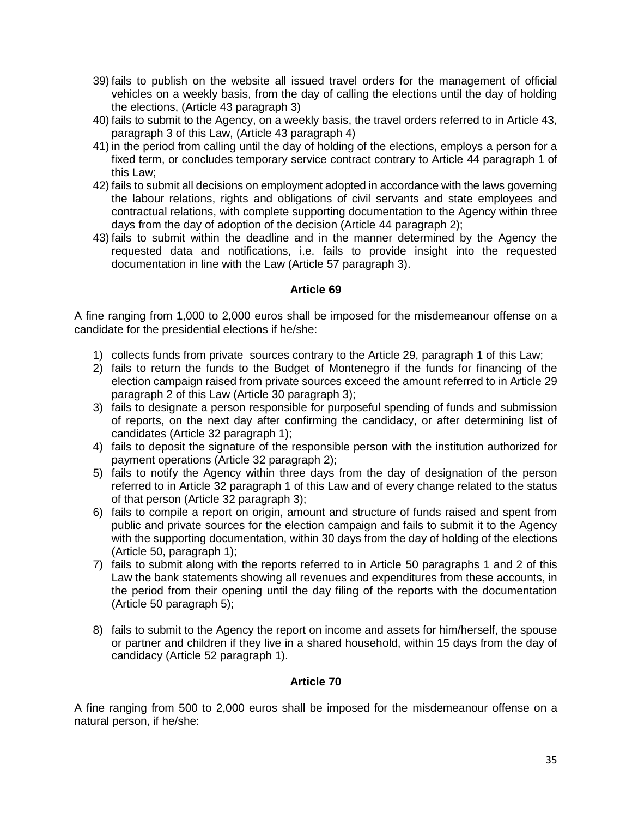- 39) fails to publish on the website all issued travel orders for the management of official vehicles on a weekly basis, from the day of calling the elections until the day of holding the elections, (Article 43 paragraph 3)
- 40) fails to submit to the Agency, on a weekly basis, the travel orders referred to in Article 43, paragraph 3 of this Law, (Article 43 paragraph 4)
- 41) in the period from calling until the day of holding of the elections, employs a person for a fixed term, or concludes temporary service contract contrary to Article 44 paragraph 1 of this Law;
- 42) fails to submit all decisions on employment adopted in accordance with the laws governing the labour relations, rights and obligations of civil servants and state employees and contractual relations, with complete supporting documentation to the Agency within three days from the day of adoption of the decision (Article 44 paragraph 2);
- 43) fails to submit within the deadline and in the manner determined by the Agency the requested data and notifications, i.e. fails to provide insight into the requested documentation in line with the Law (Article 57 paragraph 3).

A fine ranging from 1,000 to 2,000 euros shall be imposed for the misdemeanour offense on a candidate for the presidential elections if he/she:

- 1) collects funds from private sources contrary to the Article 29, paragraph 1 of this Law;
- 2) fails to return the funds to the Budget of Montenegro if the funds for financing of the election campaign raised from private sources exceed the amount referred to in Article 29 paragraph 2 of this Law (Article 30 paragraph 3);
- 3) fails to designate a person responsible for purposeful spending of funds and submission of reports, on the next day after confirming the candidacy, or after determining list of candidates (Article 32 paragraph 1);
- 4) fails to deposit the signature of the responsible person with the institution authorized for payment operations (Article 32 paragraph 2);
- 5) fails to notify the Agency within three days from the day of designation of the person referred to in Article 32 paragraph 1 of this Law and of every change related to the status of that person (Article 32 paragraph 3);
- 6) fails to compile a report on origin, amount and structure of funds raised and spent from public and private sources for the election campaign and fails to submit it to the Agency with the supporting documentation, within 30 days from the day of holding of the elections (Article 50, paragraph 1);
- 7) fails to submit along with the reports referred to in Article 50 paragraphs 1 and 2 of this Law the bank statements showing all revenues and expenditures from these accounts, in the period from their opening until the day filing of the reports with the documentation (Article 50 paragraph 5);
- 8) fails to submit to the Agency the report on income and assets for him/herself, the spouse or partner and children if they live in a shared household, within 15 days from the day of candidacy (Article 52 paragraph 1).

## **Article 70**

A fine ranging from 500 to 2,000 euros shall be imposed for the misdemeanour offense on a natural person, if he/she: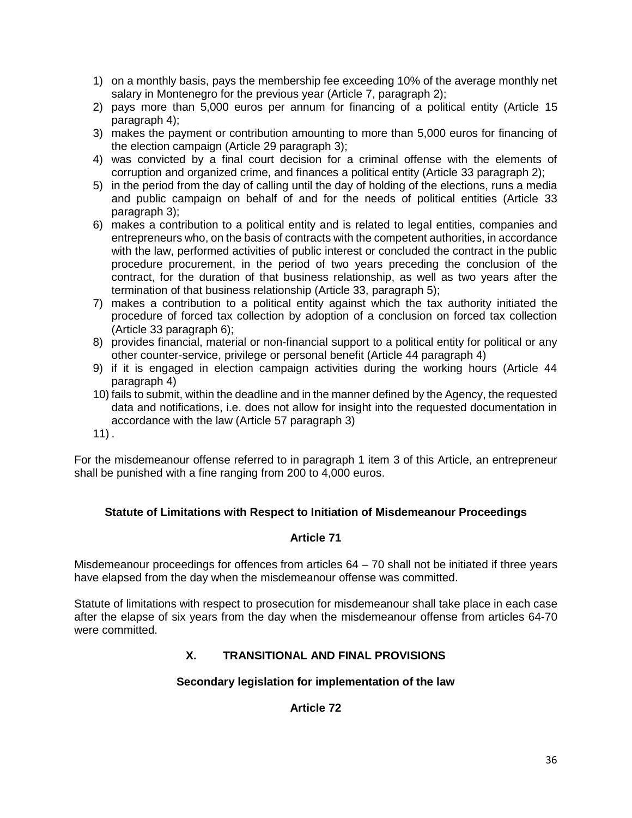- 1) on a monthly basis, pays the membership fee exceeding 10% of the average monthly net salary in Montenegro for the previous year (Article 7, paragraph 2);
- 2) pays more than 5,000 euros per annum for financing of a political entity (Article 15 paragraph 4);
- 3) makes the payment or contribution amounting to more than 5,000 euros for financing of the election campaign (Article 29 paragraph 3);
- 4) was convicted by a final court decision for a criminal offense with the elements of corruption and organized crime, and finances a political entity (Article 33 paragraph 2);
- 5) in the period from the day of calling until the day of holding of the elections, runs a media and public campaign on behalf of and for the needs of political entities (Article 33 paragraph 3);
- 6) makes a contribution to a political entity and is related to legal entities, companies and entrepreneurs who, on the basis of contracts with the competent authorities, in accordance with the law, performed activities of public interest or concluded the contract in the public procedure procurement, in the period of two years preceding the conclusion of the contract, for the duration of that business relationship, as well as two years after the termination of that business relationship (Article 33, paragraph 5);
- 7) makes a contribution to a political entity against which the tax authority initiated the procedure of forced tax collection by adoption of a conclusion on forced tax collection (Article 33 paragraph 6);
- 8) provides financial, material or non-financial support to a political entity for political or any other counter-service, privilege or personal benefit (Article 44 paragraph 4)
- 9) if it is engaged in election campaign activities during the working hours (Article 44 paragraph 4)
- 10) fails to submit, within the deadline and in the manner defined by the Agency, the requested data and notifications, i.e. does not allow for insight into the requested documentation in accordance with the law (Article 57 paragraph 3)
- $11$ ).

For the misdemeanour offense referred to in paragraph 1 item 3 of this Article, an entrepreneur shall be punished with a fine ranging from 200 to 4,000 euros.

# **Statute of Limitations with Respect to Initiation of Misdemeanour Proceedings**

## **Article 71**

Misdemeanour proceedings for offences from articles 64 – 70 shall not be initiated if three years have elapsed from the day when the misdemeanour offense was committed.

Statute of limitations with respect to prosecution for misdemeanour shall take place in each case after the elapse of six years from the day when the misdemeanour offense from articles 64-70 were committed.

# **X. TRANSITIONAL AND FINAL PROVISIONS**

## **Secondary legislation for implementation of the law**

## **Article 72**